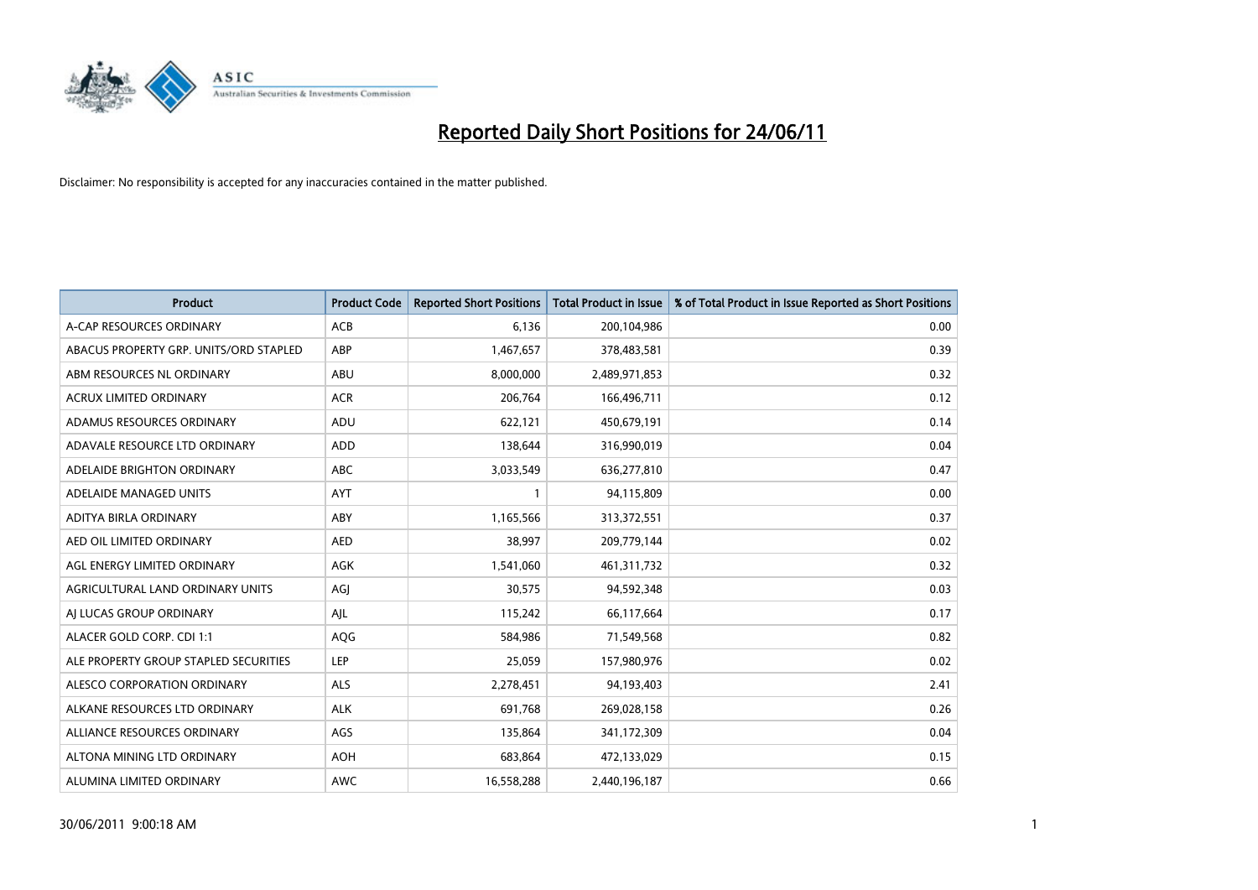

| <b>Product</b>                         | <b>Product Code</b> | <b>Reported Short Positions</b> | Total Product in Issue | % of Total Product in Issue Reported as Short Positions |
|----------------------------------------|---------------------|---------------------------------|------------------------|---------------------------------------------------------|
| A-CAP RESOURCES ORDINARY               | <b>ACB</b>          | 6,136                           | 200,104,986            | 0.00                                                    |
| ABACUS PROPERTY GRP. UNITS/ORD STAPLED | ABP                 | 1,467,657                       | 378,483,581            | 0.39                                                    |
| ABM RESOURCES NL ORDINARY              | ABU                 | 8,000,000                       | 2,489,971,853          | 0.32                                                    |
| ACRUX LIMITED ORDINARY                 | <b>ACR</b>          | 206,764                         | 166,496,711            | 0.12                                                    |
| ADAMUS RESOURCES ORDINARY              | ADU                 | 622,121                         | 450,679,191            | 0.14                                                    |
| ADAVALE RESOURCE LTD ORDINARY          | ADD                 | 138,644                         | 316,990,019            | 0.04                                                    |
| ADELAIDE BRIGHTON ORDINARY             | <b>ABC</b>          | 3,033,549                       | 636,277,810            | 0.47                                                    |
| ADELAIDE MANAGED UNITS                 | <b>AYT</b>          |                                 | 94,115,809             | 0.00                                                    |
| ADITYA BIRLA ORDINARY                  | ABY                 | 1,165,566                       | 313,372,551            | 0.37                                                    |
| AED OIL LIMITED ORDINARY               | <b>AED</b>          | 38,997                          | 209,779,144            | 0.02                                                    |
| AGL ENERGY LIMITED ORDINARY            | <b>AGK</b>          | 1,541,060                       | 461,311,732            | 0.32                                                    |
| AGRICULTURAL LAND ORDINARY UNITS       | AGJ                 | 30,575                          | 94,592,348             | 0.03                                                    |
| AI LUCAS GROUP ORDINARY                | AJL                 | 115,242                         | 66,117,664             | 0.17                                                    |
| ALACER GOLD CORP. CDI 1:1              | AQG                 | 584,986                         | 71,549,568             | 0.82                                                    |
| ALE PROPERTY GROUP STAPLED SECURITIES  | <b>LEP</b>          | 25,059                          | 157,980,976            | 0.02                                                    |
| ALESCO CORPORATION ORDINARY            | <b>ALS</b>          | 2,278,451                       | 94,193,403             | 2.41                                                    |
| ALKANE RESOURCES LTD ORDINARY          | <b>ALK</b>          | 691,768                         | 269,028,158            | 0.26                                                    |
| ALLIANCE RESOURCES ORDINARY            | AGS                 | 135,864                         | 341,172,309            | 0.04                                                    |
| ALTONA MINING LTD ORDINARY             | <b>AOH</b>          | 683,864                         | 472,133,029            | 0.15                                                    |
| ALUMINA LIMITED ORDINARY               | <b>AWC</b>          | 16,558,288                      | 2,440,196,187          | 0.66                                                    |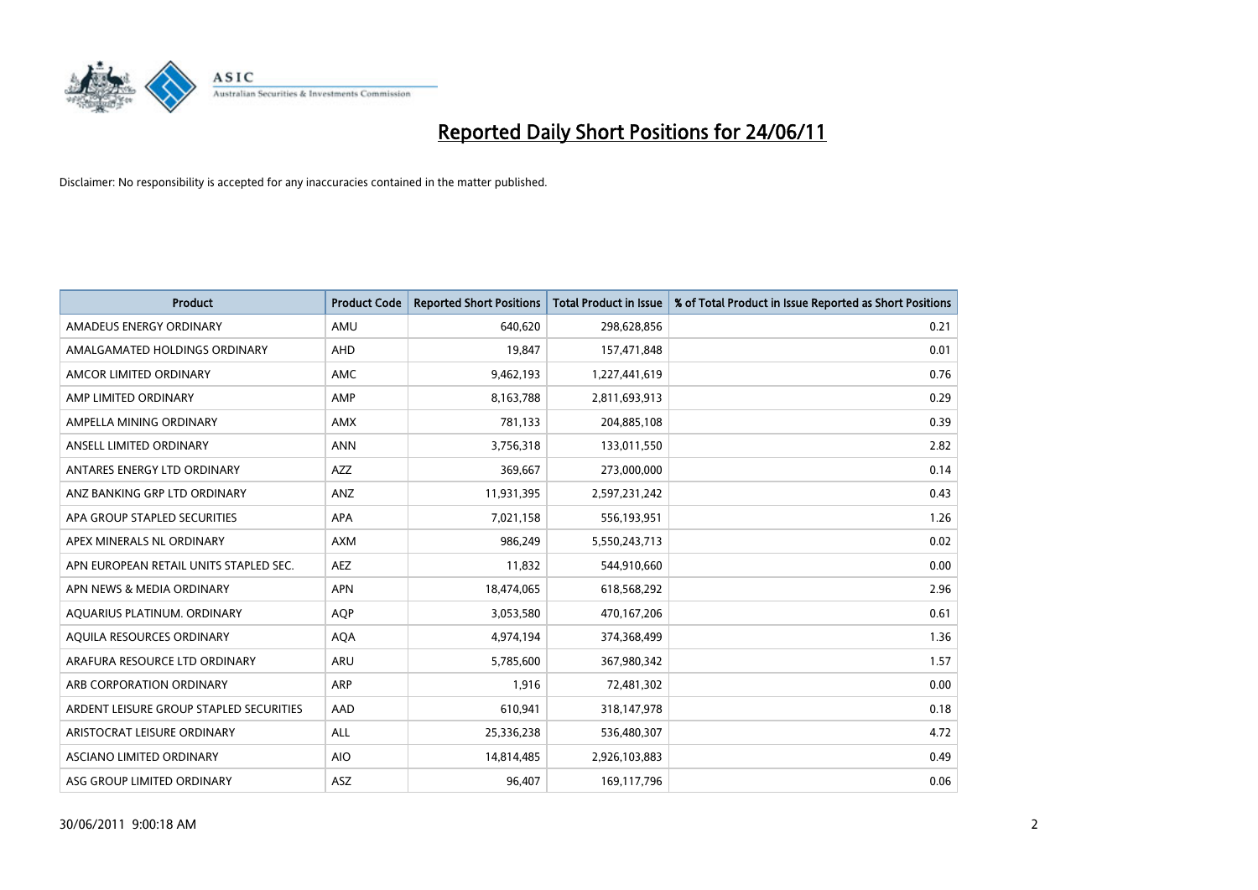

| <b>Product</b>                          | <b>Product Code</b> | <b>Reported Short Positions</b> | Total Product in Issue | % of Total Product in Issue Reported as Short Positions |
|-----------------------------------------|---------------------|---------------------------------|------------------------|---------------------------------------------------------|
| AMADEUS ENERGY ORDINARY                 | AMU                 | 640.620                         | 298,628,856            | 0.21                                                    |
| AMALGAMATED HOLDINGS ORDINARY           | <b>AHD</b>          | 19,847                          | 157,471,848            | 0.01                                                    |
| AMCOR LIMITED ORDINARY                  | <b>AMC</b>          | 9,462,193                       | 1,227,441,619          | 0.76                                                    |
| AMP LIMITED ORDINARY                    | AMP                 | 8,163,788                       | 2,811,693,913          | 0.29                                                    |
| AMPELLA MINING ORDINARY                 | <b>AMX</b>          | 781,133                         | 204,885,108            | 0.39                                                    |
| ANSELL LIMITED ORDINARY                 | <b>ANN</b>          | 3,756,318                       | 133,011,550            | 2.82                                                    |
| ANTARES ENERGY LTD ORDINARY             | <b>AZZ</b>          | 369,667                         | 273,000,000            | 0.14                                                    |
| ANZ BANKING GRP LTD ORDINARY            | <b>ANZ</b>          | 11,931,395                      | 2,597,231,242          | 0.43                                                    |
| APA GROUP STAPLED SECURITIES            | <b>APA</b>          | 7,021,158                       | 556,193,951            | 1.26                                                    |
| APEX MINERALS NL ORDINARY               | <b>AXM</b>          | 986,249                         | 5,550,243,713          | 0.02                                                    |
| APN EUROPEAN RETAIL UNITS STAPLED SEC.  | <b>AEZ</b>          | 11,832                          | 544,910,660            | 0.00                                                    |
| APN NEWS & MEDIA ORDINARY               | <b>APN</b>          | 18,474,065                      | 618,568,292            | 2.96                                                    |
| AQUARIUS PLATINUM. ORDINARY             | <b>AOP</b>          | 3,053,580                       | 470,167,206            | 0.61                                                    |
| AQUILA RESOURCES ORDINARY               | <b>AQA</b>          | 4,974,194                       | 374,368,499            | 1.36                                                    |
| ARAFURA RESOURCE LTD ORDINARY           | ARU                 | 5,785,600                       | 367,980,342            | 1.57                                                    |
| ARB CORPORATION ORDINARY                | <b>ARP</b>          | 1,916                           | 72,481,302             | 0.00                                                    |
| ARDENT LEISURE GROUP STAPLED SECURITIES | AAD                 | 610,941                         | 318,147,978            | 0.18                                                    |
| ARISTOCRAT LEISURE ORDINARY             | ALL                 | 25,336,238                      | 536,480,307            | 4.72                                                    |
| ASCIANO LIMITED ORDINARY                | <b>AIO</b>          | 14,814,485                      | 2,926,103,883          | 0.49                                                    |
| ASG GROUP LIMITED ORDINARY              | ASZ                 | 96,407                          | 169,117,796            | 0.06                                                    |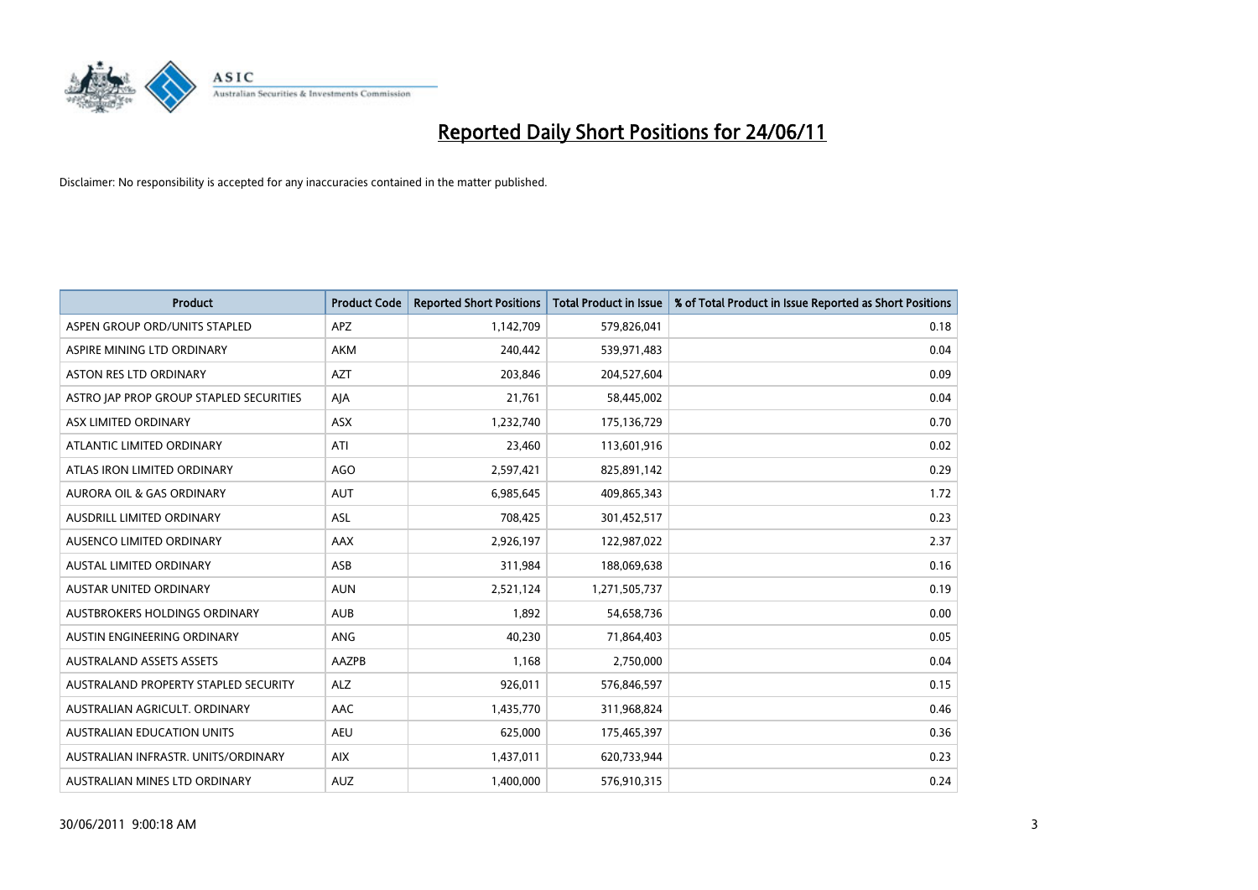

| <b>Product</b>                          | <b>Product Code</b> | <b>Reported Short Positions</b> | Total Product in Issue | % of Total Product in Issue Reported as Short Positions |
|-----------------------------------------|---------------------|---------------------------------|------------------------|---------------------------------------------------------|
| ASPEN GROUP ORD/UNITS STAPLED           | <b>APZ</b>          | 1,142,709                       | 579,826,041            | 0.18                                                    |
| ASPIRE MINING LTD ORDINARY              | <b>AKM</b>          | 240,442                         | 539,971,483            | 0.04                                                    |
| <b>ASTON RES LTD ORDINARY</b>           | <b>AZT</b>          | 203,846                         | 204,527,604            | 0.09                                                    |
| ASTRO JAP PROP GROUP STAPLED SECURITIES | AJA                 | 21,761                          | 58,445,002             | 0.04                                                    |
| ASX LIMITED ORDINARY                    | ASX                 | 1,232,740                       | 175,136,729            | 0.70                                                    |
| ATLANTIC LIMITED ORDINARY               | ATI                 | 23,460                          | 113,601,916            | 0.02                                                    |
| ATLAS IRON LIMITED ORDINARY             | AGO                 | 2,597,421                       | 825,891,142            | 0.29                                                    |
| AURORA OIL & GAS ORDINARY               | <b>AUT</b>          | 6,985,645                       | 409,865,343            | 1.72                                                    |
| AUSDRILL LIMITED ORDINARY               | <b>ASL</b>          | 708,425                         | 301,452,517            | 0.23                                                    |
| AUSENCO LIMITED ORDINARY                | AAX                 | 2,926,197                       | 122,987,022            | 2.37                                                    |
| AUSTAL LIMITED ORDINARY                 | ASB                 | 311,984                         | 188,069,638            | 0.16                                                    |
| <b>AUSTAR UNITED ORDINARY</b>           | <b>AUN</b>          | 2,521,124                       | 1,271,505,737          | 0.19                                                    |
| AUSTBROKERS HOLDINGS ORDINARY           | <b>AUB</b>          | 1,892                           | 54,658,736             | 0.00                                                    |
| AUSTIN ENGINEERING ORDINARY             | ANG                 | 40,230                          | 71,864,403             | 0.05                                                    |
| <b>AUSTRALAND ASSETS ASSETS</b>         | AAZPB               | 1,168                           | 2,750,000              | 0.04                                                    |
| AUSTRALAND PROPERTY STAPLED SECURITY    | <b>ALZ</b>          | 926,011                         | 576,846,597            | 0.15                                                    |
| AUSTRALIAN AGRICULT. ORDINARY           | AAC                 | 1,435,770                       | 311,968,824            | 0.46                                                    |
| AUSTRALIAN EDUCATION UNITS              | <b>AEU</b>          | 625,000                         | 175,465,397            | 0.36                                                    |
| AUSTRALIAN INFRASTR. UNITS/ORDINARY     | <b>AIX</b>          | 1,437,011                       | 620,733,944            | 0.23                                                    |
| AUSTRALIAN MINES LTD ORDINARY           | <b>AUZ</b>          | 1,400,000                       | 576,910,315            | 0.24                                                    |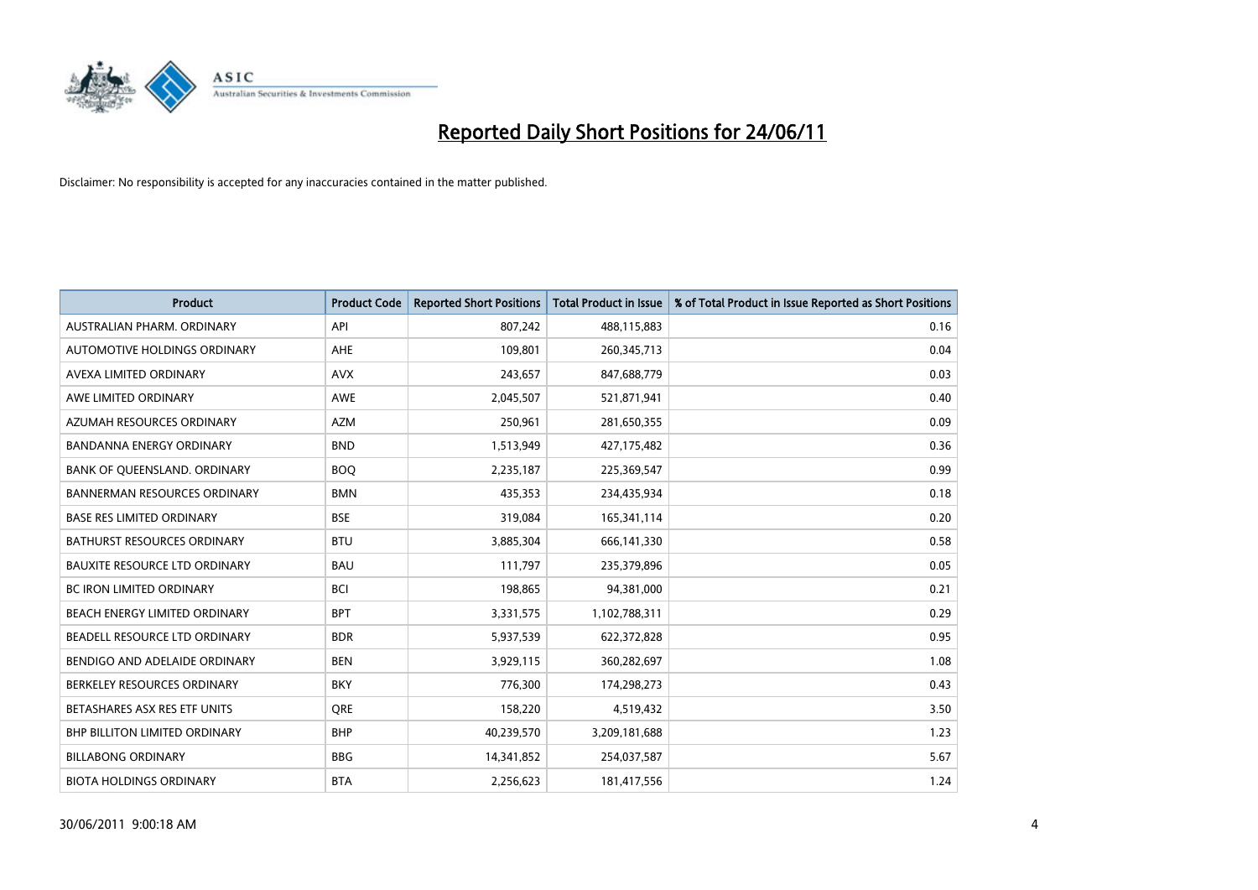

| <b>Product</b>                       | <b>Product Code</b> | <b>Reported Short Positions</b> | <b>Total Product in Issue</b> | % of Total Product in Issue Reported as Short Positions |
|--------------------------------------|---------------------|---------------------------------|-------------------------------|---------------------------------------------------------|
| AUSTRALIAN PHARM, ORDINARY           | API                 | 807,242                         | 488,115,883                   | 0.16                                                    |
| AUTOMOTIVE HOLDINGS ORDINARY         | <b>AHE</b>          | 109,801                         | 260, 345, 713                 | 0.04                                                    |
| AVEXA LIMITED ORDINARY               | <b>AVX</b>          | 243,657                         | 847,688,779                   | 0.03                                                    |
| AWE LIMITED ORDINARY                 | <b>AWE</b>          | 2,045,507                       | 521,871,941                   | 0.40                                                    |
| AZUMAH RESOURCES ORDINARY            | <b>AZM</b>          | 250,961                         | 281,650,355                   | 0.09                                                    |
| <b>BANDANNA ENERGY ORDINARY</b>      | <b>BND</b>          | 1,513,949                       | 427,175,482                   | 0.36                                                    |
| BANK OF QUEENSLAND. ORDINARY         | <b>BOO</b>          | 2,235,187                       | 225,369,547                   | 0.99                                                    |
| <b>BANNERMAN RESOURCES ORDINARY</b>  | <b>BMN</b>          | 435,353                         | 234,435,934                   | 0.18                                                    |
| <b>BASE RES LIMITED ORDINARY</b>     | <b>BSE</b>          | 319,084                         | 165,341,114                   | 0.20                                                    |
| <b>BATHURST RESOURCES ORDINARY</b>   | <b>BTU</b>          | 3,885,304                       | 666,141,330                   | 0.58                                                    |
| <b>BAUXITE RESOURCE LTD ORDINARY</b> | <b>BAU</b>          | 111,797                         | 235,379,896                   | 0.05                                                    |
| <b>BC IRON LIMITED ORDINARY</b>      | <b>BCI</b>          | 198,865                         | 94,381,000                    | 0.21                                                    |
| BEACH ENERGY LIMITED ORDINARY        | <b>BPT</b>          | 3,331,575                       | 1,102,788,311                 | 0.29                                                    |
| BEADELL RESOURCE LTD ORDINARY        | <b>BDR</b>          | 5,937,539                       | 622,372,828                   | 0.95                                                    |
| BENDIGO AND ADELAIDE ORDINARY        | <b>BEN</b>          | 3,929,115                       | 360,282,697                   | 1.08                                                    |
| BERKELEY RESOURCES ORDINARY          | <b>BKY</b>          | 776,300                         | 174,298,273                   | 0.43                                                    |
| BETASHARES ASX RES ETF UNITS         | <b>ORE</b>          | 158,220                         | 4,519,432                     | 3.50                                                    |
| BHP BILLITON LIMITED ORDINARY        | <b>BHP</b>          | 40,239,570                      | 3,209,181,688                 | 1.23                                                    |
| <b>BILLABONG ORDINARY</b>            | <b>BBG</b>          | 14,341,852                      | 254,037,587                   | 5.67                                                    |
| <b>BIOTA HOLDINGS ORDINARY</b>       | <b>BTA</b>          | 2,256,623                       | 181,417,556                   | 1.24                                                    |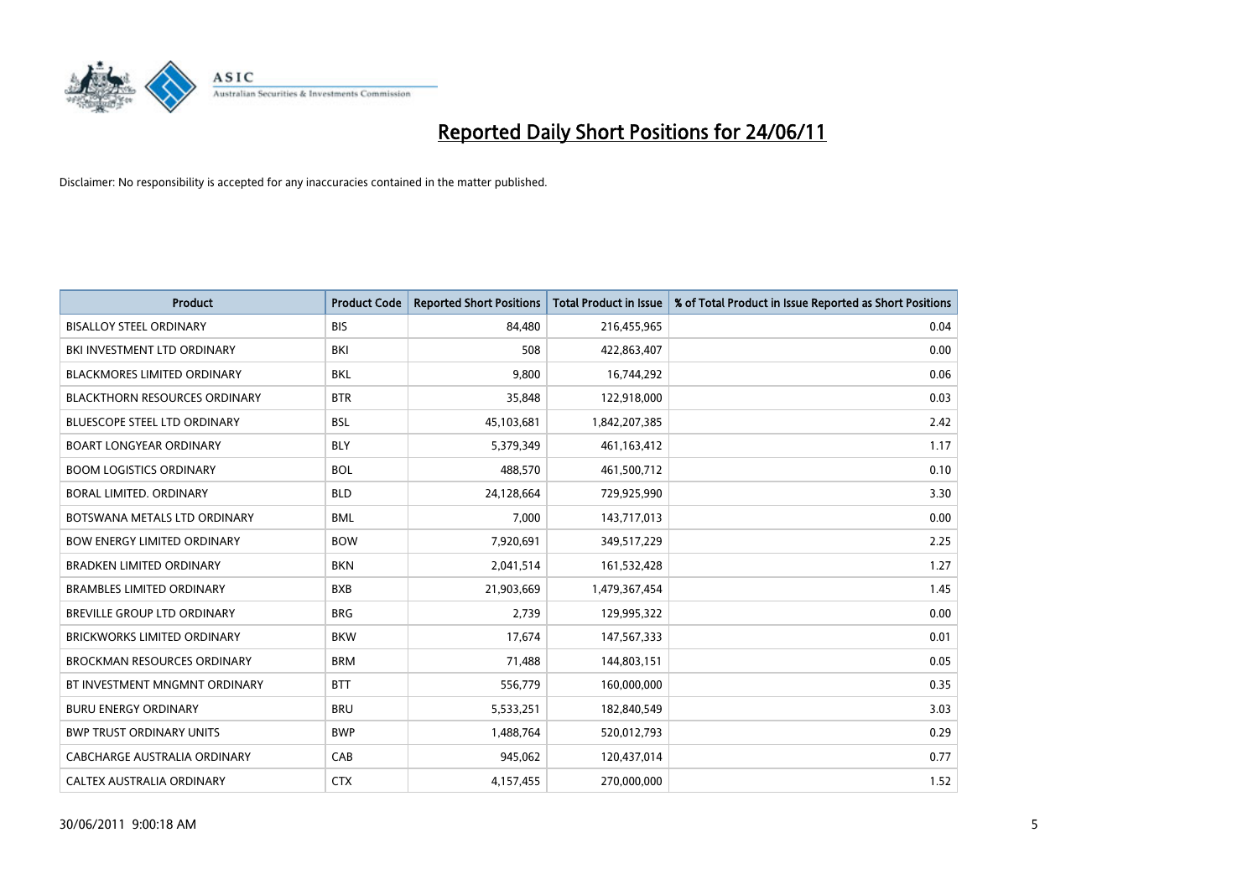

| <b>Product</b>                       | <b>Product Code</b> | <b>Reported Short Positions</b> | <b>Total Product in Issue</b> | % of Total Product in Issue Reported as Short Positions |
|--------------------------------------|---------------------|---------------------------------|-------------------------------|---------------------------------------------------------|
| <b>BISALLOY STEEL ORDINARY</b>       | <b>BIS</b>          | 84,480                          | 216,455,965                   | 0.04                                                    |
| BKI INVESTMENT LTD ORDINARY          | <b>BKI</b>          | 508                             | 422,863,407                   | 0.00                                                    |
| <b>BLACKMORES LIMITED ORDINARY</b>   | <b>BKL</b>          | 9,800                           | 16,744,292                    | 0.06                                                    |
| <b>BLACKTHORN RESOURCES ORDINARY</b> | <b>BTR</b>          | 35,848                          | 122,918,000                   | 0.03                                                    |
| <b>BLUESCOPE STEEL LTD ORDINARY</b>  | <b>BSL</b>          | 45,103,681                      | 1,842,207,385                 | 2.42                                                    |
| <b>BOART LONGYEAR ORDINARY</b>       | <b>BLY</b>          | 5,379,349                       | 461, 163, 412                 | 1.17                                                    |
| <b>BOOM LOGISTICS ORDINARY</b>       | <b>BOL</b>          | 488,570                         | 461,500,712                   | 0.10                                                    |
| BORAL LIMITED. ORDINARY              | <b>BLD</b>          | 24,128,664                      | 729,925,990                   | 3.30                                                    |
| BOTSWANA METALS LTD ORDINARY         | <b>BML</b>          | 7,000                           | 143,717,013                   | 0.00                                                    |
| <b>BOW ENERGY LIMITED ORDINARY</b>   | <b>BOW</b>          | 7,920,691                       | 349,517,229                   | 2.25                                                    |
| BRADKEN LIMITED ORDINARY             | <b>BKN</b>          | 2,041,514                       | 161,532,428                   | 1.27                                                    |
| <b>BRAMBLES LIMITED ORDINARY</b>     | <b>BXB</b>          | 21,903,669                      | 1,479,367,454                 | 1.45                                                    |
| BREVILLE GROUP LTD ORDINARY          | <b>BRG</b>          | 2,739                           | 129,995,322                   | 0.00                                                    |
| <b>BRICKWORKS LIMITED ORDINARY</b>   | <b>BKW</b>          | 17,674                          | 147,567,333                   | 0.01                                                    |
| <b>BROCKMAN RESOURCES ORDINARY</b>   | <b>BRM</b>          | 71,488                          | 144,803,151                   | 0.05                                                    |
| BT INVESTMENT MNGMNT ORDINARY        | <b>BTT</b>          | 556,779                         | 160,000,000                   | 0.35                                                    |
| <b>BURU ENERGY ORDINARY</b>          | <b>BRU</b>          | 5,533,251                       | 182,840,549                   | 3.03                                                    |
| <b>BWP TRUST ORDINARY UNITS</b>      | <b>BWP</b>          | 1,488,764                       | 520,012,793                   | 0.29                                                    |
| <b>CABCHARGE AUSTRALIA ORDINARY</b>  | CAB                 | 945,062                         | 120,437,014                   | 0.77                                                    |
| CALTEX AUSTRALIA ORDINARY            | <b>CTX</b>          | 4,157,455                       | 270,000,000                   | 1.52                                                    |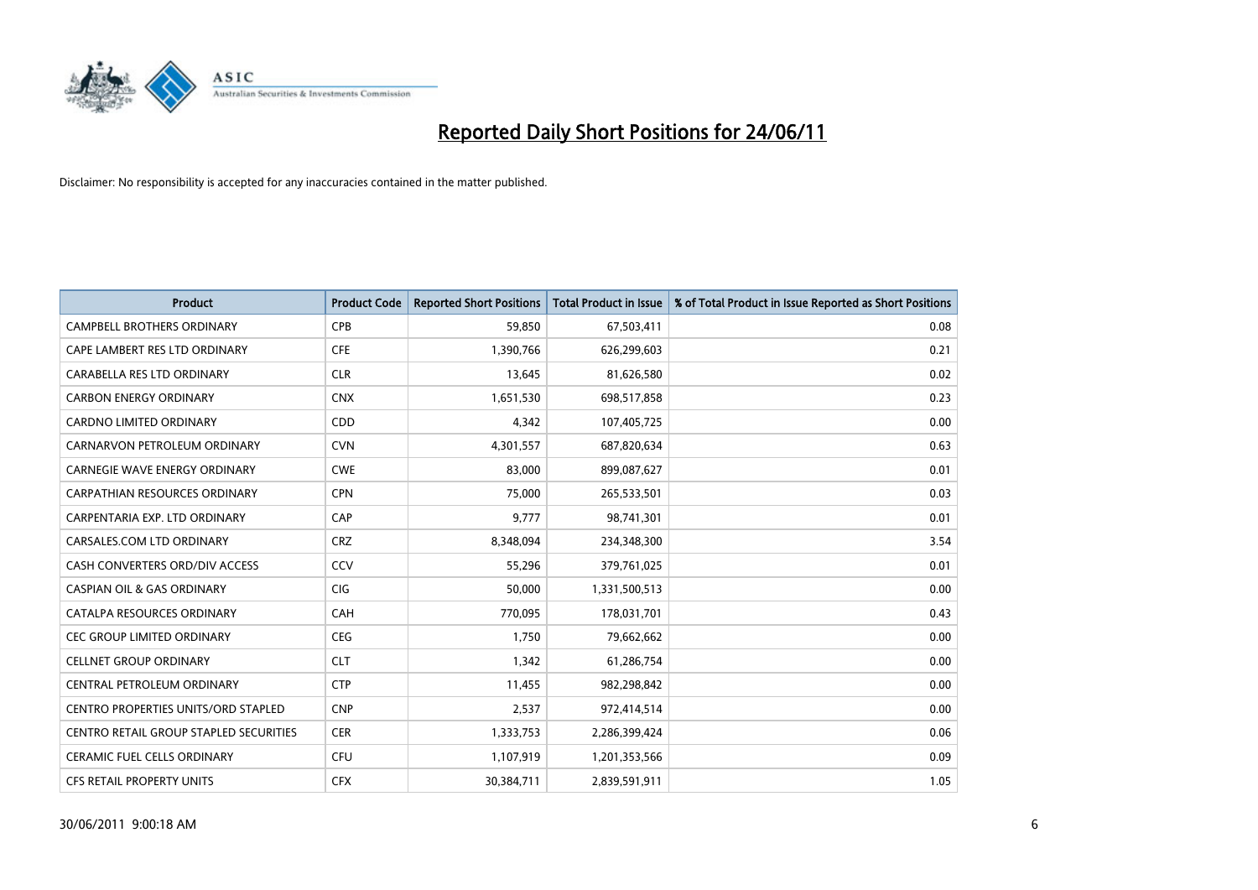

| <b>Product</b>                         | <b>Product Code</b> | <b>Reported Short Positions</b> | <b>Total Product in Issue</b> | % of Total Product in Issue Reported as Short Positions |
|----------------------------------------|---------------------|---------------------------------|-------------------------------|---------------------------------------------------------|
| <b>CAMPBELL BROTHERS ORDINARY</b>      | <b>CPB</b>          | 59,850                          | 67,503,411                    | 0.08                                                    |
| CAPE LAMBERT RES LTD ORDINARY          | <b>CFE</b>          | 1,390,766                       | 626,299,603                   | 0.21                                                    |
| CARABELLA RES LTD ORDINARY             | <b>CLR</b>          | 13,645                          | 81,626,580                    | 0.02                                                    |
| <b>CARBON ENERGY ORDINARY</b>          | <b>CNX</b>          | 1,651,530                       | 698,517,858                   | 0.23                                                    |
| <b>CARDNO LIMITED ORDINARY</b>         | CDD                 | 4,342                           | 107,405,725                   | 0.00                                                    |
| CARNARVON PETROLEUM ORDINARY           | <b>CVN</b>          | 4,301,557                       | 687,820,634                   | 0.63                                                    |
| <b>CARNEGIE WAVE ENERGY ORDINARY</b>   | <b>CWE</b>          | 83,000                          | 899,087,627                   | 0.01                                                    |
| CARPATHIAN RESOURCES ORDINARY          | <b>CPN</b>          | 75,000                          | 265,533,501                   | 0.03                                                    |
| CARPENTARIA EXP. LTD ORDINARY          | CAP                 | 9,777                           | 98,741,301                    | 0.01                                                    |
| CARSALES.COM LTD ORDINARY              | <b>CRZ</b>          | 8,348,094                       | 234,348,300                   | 3.54                                                    |
| CASH CONVERTERS ORD/DIV ACCESS         | CCV                 | 55,296                          | 379,761,025                   | 0.01                                                    |
| <b>CASPIAN OIL &amp; GAS ORDINARY</b>  | CIG                 | 50,000                          | 1,331,500,513                 | 0.00                                                    |
| CATALPA RESOURCES ORDINARY             | CAH                 | 770,095                         | 178,031,701                   | 0.43                                                    |
| <b>CEC GROUP LIMITED ORDINARY</b>      | <b>CEG</b>          | 1,750                           | 79,662,662                    | 0.00                                                    |
| <b>CELLNET GROUP ORDINARY</b>          | <b>CLT</b>          | 1,342                           | 61,286,754                    | 0.00                                                    |
| CENTRAL PETROLEUM ORDINARY             | <b>CTP</b>          | 11,455                          | 982,298,842                   | 0.00                                                    |
| CENTRO PROPERTIES UNITS/ORD STAPLED    | <b>CNP</b>          | 2,537                           | 972,414,514                   | 0.00                                                    |
| CENTRO RETAIL GROUP STAPLED SECURITIES | <b>CER</b>          | 1,333,753                       | 2,286,399,424                 | 0.06                                                    |
| <b>CERAMIC FUEL CELLS ORDINARY</b>     | CFU                 | 1,107,919                       | 1,201,353,566                 | 0.09                                                    |
| <b>CFS RETAIL PROPERTY UNITS</b>       | <b>CFX</b>          | 30,384,711                      | 2,839,591,911                 | 1.05                                                    |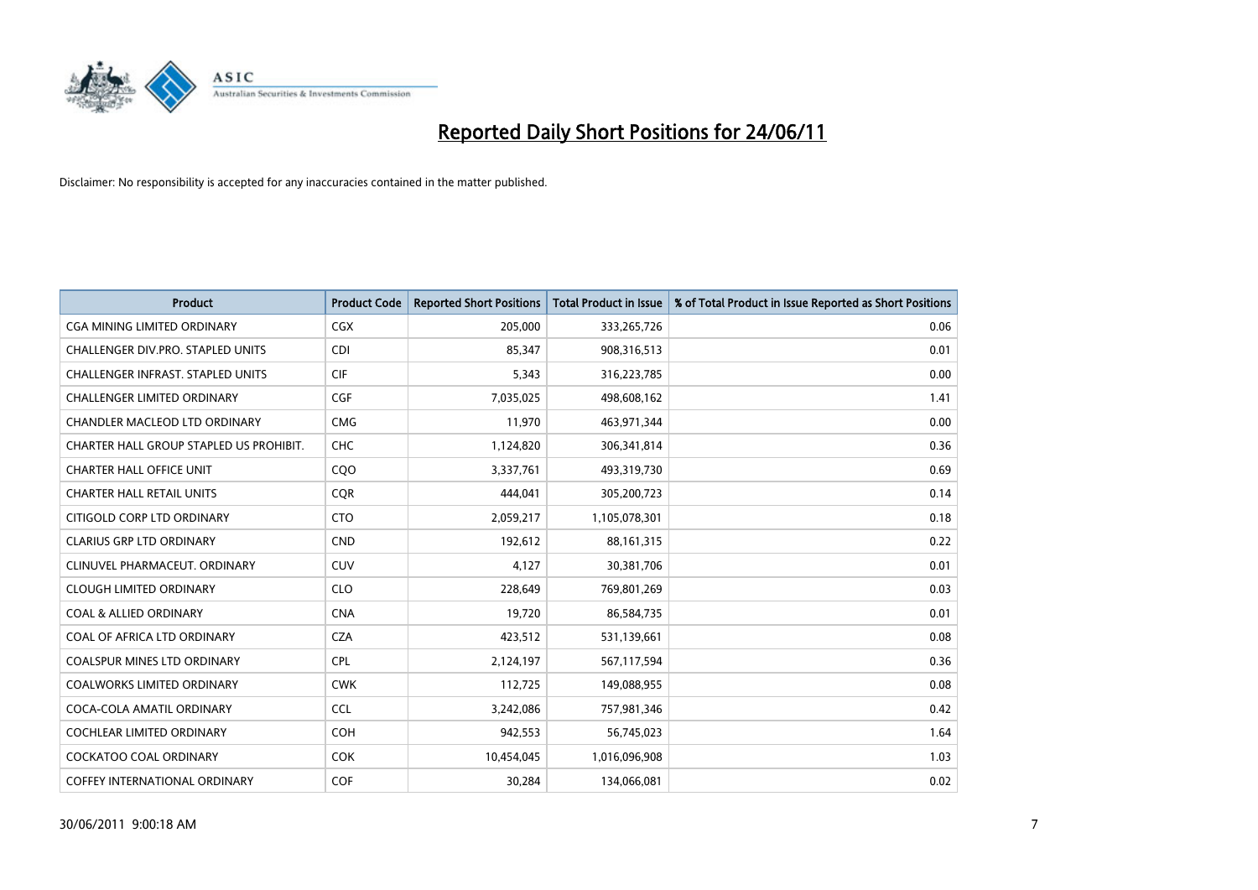

| <b>Product</b>                           | <b>Product Code</b> | <b>Reported Short Positions</b> | <b>Total Product in Issue</b> | % of Total Product in Issue Reported as Short Positions |
|------------------------------------------|---------------------|---------------------------------|-------------------------------|---------------------------------------------------------|
| CGA MINING LIMITED ORDINARY              | <b>CGX</b>          | 205,000                         | 333,265,726                   | 0.06                                                    |
| <b>CHALLENGER DIV.PRO. STAPLED UNITS</b> | <b>CDI</b>          | 85,347                          | 908,316,513                   | 0.01                                                    |
| <b>CHALLENGER INFRAST, STAPLED UNITS</b> | <b>CIF</b>          | 5,343                           | 316,223,785                   | 0.00                                                    |
| <b>CHALLENGER LIMITED ORDINARY</b>       | CGF                 | 7,035,025                       | 498,608,162                   | 1.41                                                    |
| CHANDLER MACLEOD LTD ORDINARY            | <b>CMG</b>          | 11,970                          | 463,971,344                   | 0.00                                                    |
| CHARTER HALL GROUP STAPLED US PROHIBIT.  | <b>CHC</b>          | 1,124,820                       | 306,341,814                   | 0.36                                                    |
| <b>CHARTER HALL OFFICE UNIT</b>          | COO                 | 3,337,761                       | 493,319,730                   | 0.69                                                    |
| <b>CHARTER HALL RETAIL UNITS</b>         | <b>COR</b>          | 444.041                         | 305,200,723                   | 0.14                                                    |
| CITIGOLD CORP LTD ORDINARY               | <b>CTO</b>          | 2,059,217                       | 1,105,078,301                 | 0.18                                                    |
| <b>CLARIUS GRP LTD ORDINARY</b>          | <b>CND</b>          | 192,612                         | 88,161,315                    | 0.22                                                    |
| CLINUVEL PHARMACEUT, ORDINARY            | CUV                 | 4,127                           | 30,381,706                    | 0.01                                                    |
| <b>CLOUGH LIMITED ORDINARY</b>           | <b>CLO</b>          | 228,649                         | 769,801,269                   | 0.03                                                    |
| <b>COAL &amp; ALLIED ORDINARY</b>        | <b>CNA</b>          | 19,720                          | 86,584,735                    | 0.01                                                    |
| COAL OF AFRICA LTD ORDINARY              | <b>CZA</b>          | 423,512                         | 531,139,661                   | 0.08                                                    |
| <b>COALSPUR MINES LTD ORDINARY</b>       | CPL                 | 2,124,197                       | 567,117,594                   | 0.36                                                    |
| <b>COALWORKS LIMITED ORDINARY</b>        | <b>CWK</b>          | 112,725                         | 149,088,955                   | 0.08                                                    |
| COCA-COLA AMATIL ORDINARY                | <b>CCL</b>          | 3,242,086                       | 757,981,346                   | 0.42                                                    |
| COCHLEAR LIMITED ORDINARY                | <b>COH</b>          | 942,553                         | 56,745,023                    | 1.64                                                    |
| <b>COCKATOO COAL ORDINARY</b>            | <b>COK</b>          | 10,454,045                      | 1,016,096,908                 | 1.03                                                    |
| COFFEY INTERNATIONAL ORDINARY            | <b>COF</b>          | 30,284                          | 134,066,081                   | 0.02                                                    |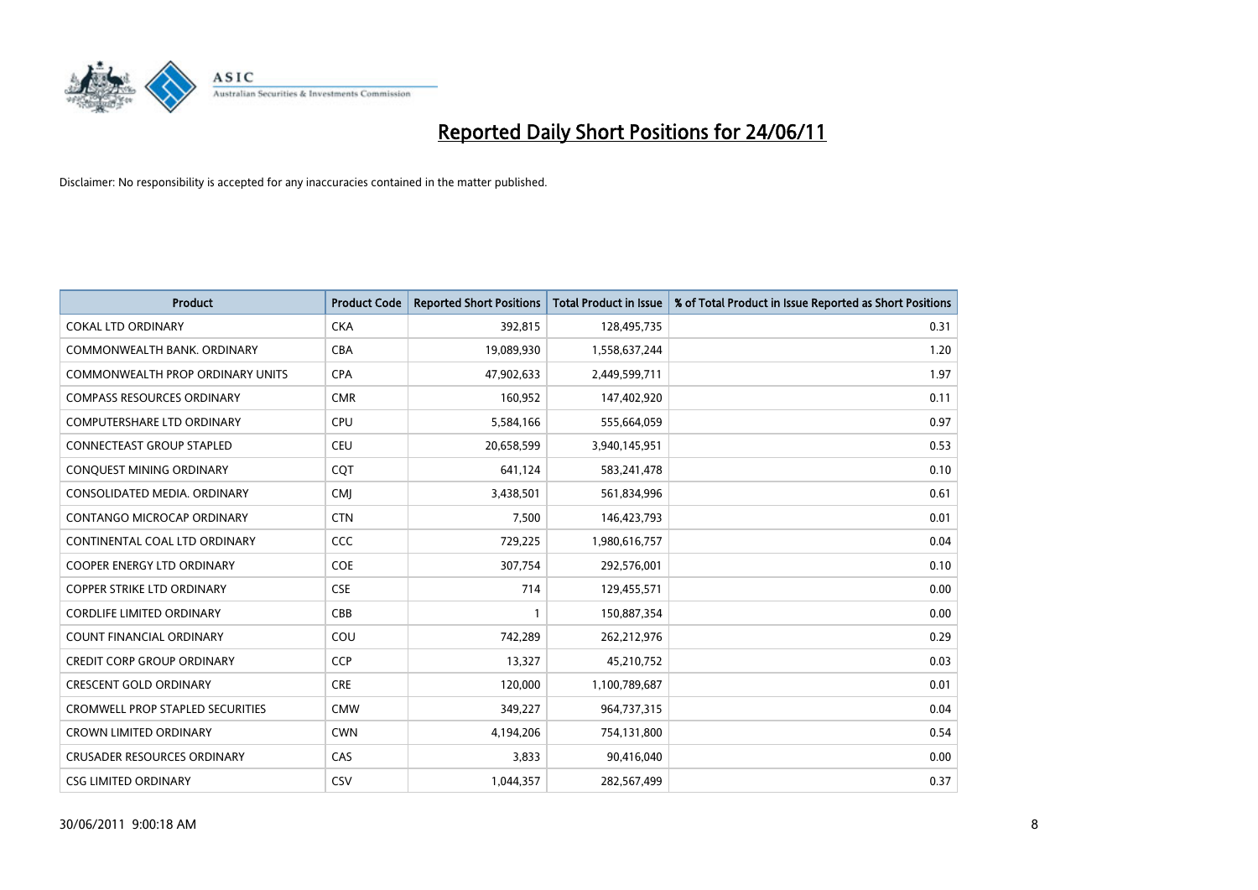

| <b>Product</b>                          | <b>Product Code</b> | <b>Reported Short Positions</b> | <b>Total Product in Issue</b> | % of Total Product in Issue Reported as Short Positions |
|-----------------------------------------|---------------------|---------------------------------|-------------------------------|---------------------------------------------------------|
| <b>COKAL LTD ORDINARY</b>               | <b>CKA</b>          | 392,815                         | 128,495,735                   | 0.31                                                    |
| COMMONWEALTH BANK, ORDINARY             | CBA                 | 19,089,930                      | 1,558,637,244                 | 1.20                                                    |
| <b>COMMONWEALTH PROP ORDINARY UNITS</b> | <b>CPA</b>          | 47,902,633                      | 2,449,599,711                 | 1.97                                                    |
| <b>COMPASS RESOURCES ORDINARY</b>       | <b>CMR</b>          | 160,952                         | 147,402,920                   | 0.11                                                    |
| <b>COMPUTERSHARE LTD ORDINARY</b>       | <b>CPU</b>          | 5,584,166                       | 555,664,059                   | 0.97                                                    |
| CONNECTEAST GROUP STAPLED               | CEU                 | 20,658,599                      | 3,940,145,951                 | 0.53                                                    |
| CONQUEST MINING ORDINARY                | COT                 | 641,124                         | 583,241,478                   | 0.10                                                    |
| CONSOLIDATED MEDIA, ORDINARY            | <b>CMJ</b>          | 3,438,501                       | 561,834,996                   | 0.61                                                    |
| CONTANGO MICROCAP ORDINARY              | <b>CTN</b>          | 7,500                           | 146,423,793                   | 0.01                                                    |
| CONTINENTAL COAL LTD ORDINARY           | CCC                 | 729,225                         | 1,980,616,757                 | 0.04                                                    |
| <b>COOPER ENERGY LTD ORDINARY</b>       | <b>COE</b>          | 307,754                         | 292,576,001                   | 0.10                                                    |
| COPPER STRIKE LTD ORDINARY              | <b>CSE</b>          | 714                             | 129,455,571                   | 0.00                                                    |
| <b>CORDLIFE LIMITED ORDINARY</b>        | CBB                 |                                 | 150,887,354                   | 0.00                                                    |
| <b>COUNT FINANCIAL ORDINARY</b>         | COU                 | 742,289                         | 262,212,976                   | 0.29                                                    |
| <b>CREDIT CORP GROUP ORDINARY</b>       | <b>CCP</b>          | 13,327                          | 45,210,752                    | 0.03                                                    |
| <b>CRESCENT GOLD ORDINARY</b>           | <b>CRE</b>          | 120,000                         | 1,100,789,687                 | 0.01                                                    |
| <b>CROMWELL PROP STAPLED SECURITIES</b> | <b>CMW</b>          | 349,227                         | 964,737,315                   | 0.04                                                    |
| <b>CROWN LIMITED ORDINARY</b>           | <b>CWN</b>          | 4,194,206                       | 754,131,800                   | 0.54                                                    |
| <b>CRUSADER RESOURCES ORDINARY</b>      | CAS                 | 3,833                           | 90,416,040                    | 0.00                                                    |
| <b>CSG LIMITED ORDINARY</b>             | CSV                 | 1,044,357                       | 282,567,499                   | 0.37                                                    |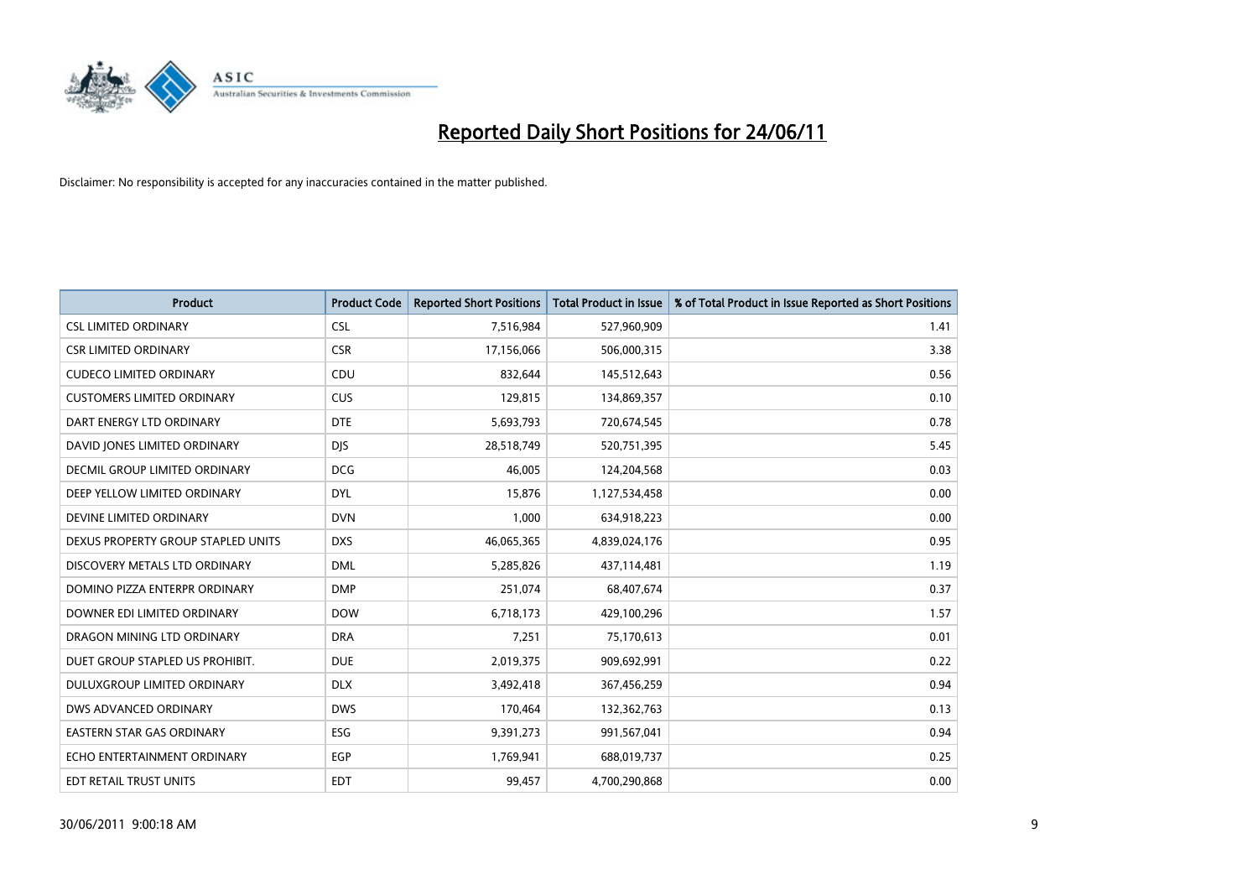

| <b>Product</b>                     | <b>Product Code</b> | <b>Reported Short Positions</b> | <b>Total Product in Issue</b> | % of Total Product in Issue Reported as Short Positions |
|------------------------------------|---------------------|---------------------------------|-------------------------------|---------------------------------------------------------|
| <b>CSL LIMITED ORDINARY</b>        | CSL                 | 7,516,984                       | 527,960,909                   | 1.41                                                    |
| <b>CSR LIMITED ORDINARY</b>        | <b>CSR</b>          | 17,156,066                      | 506,000,315                   | 3.38                                                    |
| <b>CUDECO LIMITED ORDINARY</b>     | CDU                 | 832,644                         | 145,512,643                   | 0.56                                                    |
| <b>CUSTOMERS LIMITED ORDINARY</b>  | <b>CUS</b>          | 129,815                         | 134,869,357                   | 0.10                                                    |
| DART ENERGY LTD ORDINARY           | <b>DTE</b>          | 5,693,793                       | 720,674,545                   | 0.78                                                    |
| DAVID JONES LIMITED ORDINARY       | <b>DJS</b>          | 28,518,749                      | 520,751,395                   | 5.45                                                    |
| DECMIL GROUP LIMITED ORDINARY      | <b>DCG</b>          | 46,005                          | 124,204,568                   | 0.03                                                    |
| DEEP YELLOW LIMITED ORDINARY       | <b>DYL</b>          | 15,876                          | 1,127,534,458                 | 0.00                                                    |
| DEVINE LIMITED ORDINARY            | <b>DVN</b>          | 1,000                           | 634,918,223                   | 0.00                                                    |
| DEXUS PROPERTY GROUP STAPLED UNITS | <b>DXS</b>          | 46,065,365                      | 4,839,024,176                 | 0.95                                                    |
| DISCOVERY METALS LTD ORDINARY      | <b>DML</b>          | 5,285,826                       | 437,114,481                   | 1.19                                                    |
| DOMINO PIZZA ENTERPR ORDINARY      | <b>DMP</b>          | 251,074                         | 68,407,674                    | 0.37                                                    |
| DOWNER EDI LIMITED ORDINARY        | <b>DOW</b>          | 6,718,173                       | 429,100,296                   | 1.57                                                    |
| DRAGON MINING LTD ORDINARY         | <b>DRA</b>          | 7,251                           | 75,170,613                    | 0.01                                                    |
| DUET GROUP STAPLED US PROHIBIT.    | <b>DUE</b>          | 2,019,375                       | 909,692,991                   | 0.22                                                    |
| DULUXGROUP LIMITED ORDINARY        | <b>DLX</b>          | 3,492,418                       | 367,456,259                   | 0.94                                                    |
| DWS ADVANCED ORDINARY              | <b>DWS</b>          | 170,464                         | 132,362,763                   | 0.13                                                    |
| EASTERN STAR GAS ORDINARY          | ESG                 | 9,391,273                       | 991,567,041                   | 0.94                                                    |
| ECHO ENTERTAINMENT ORDINARY        | <b>EGP</b>          | 1,769,941                       | 688,019,737                   | 0.25                                                    |
| EDT RETAIL TRUST UNITS             | <b>EDT</b>          | 99,457                          | 4,700,290,868                 | 0.00                                                    |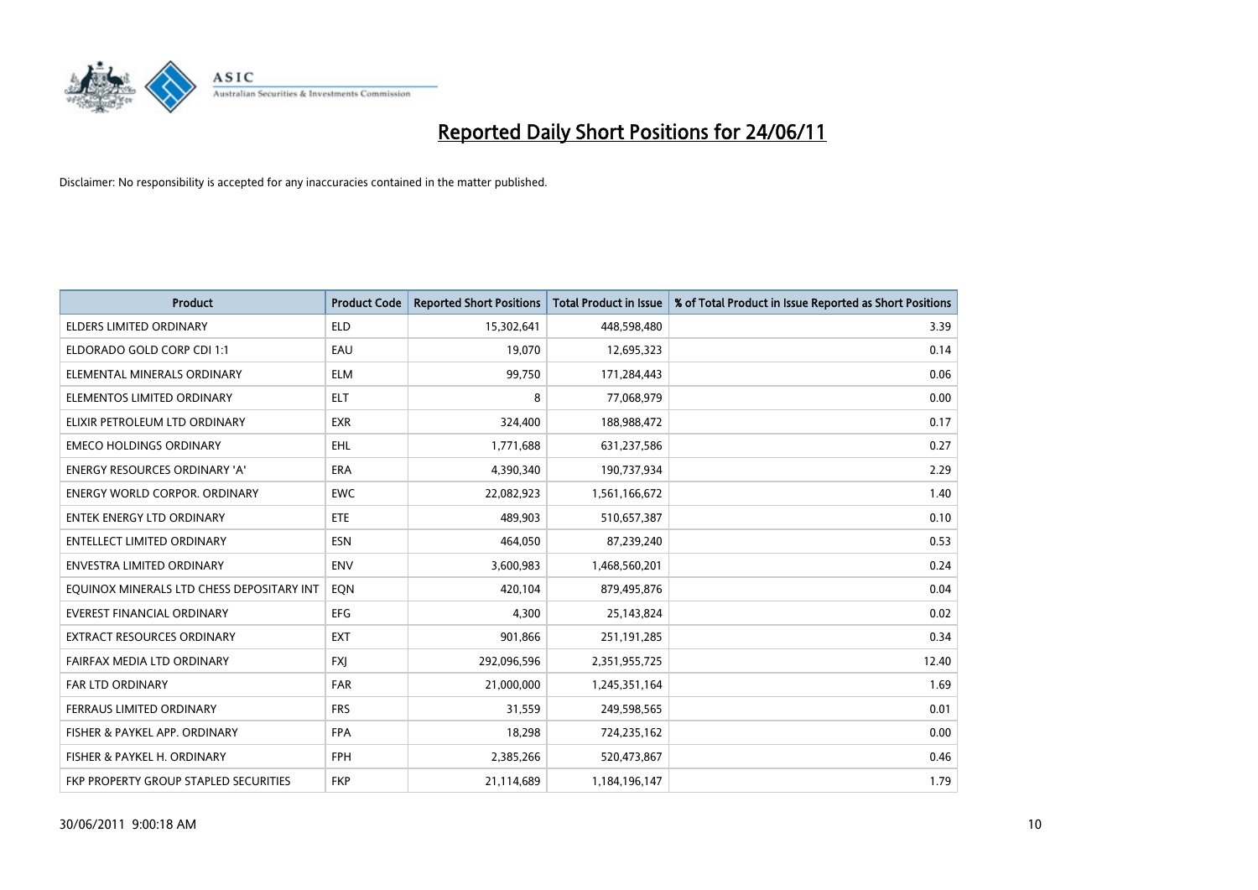

| <b>Product</b>                            | <b>Product Code</b> | <b>Reported Short Positions</b> | Total Product in Issue | % of Total Product in Issue Reported as Short Positions |
|-------------------------------------------|---------------------|---------------------------------|------------------------|---------------------------------------------------------|
| <b>ELDERS LIMITED ORDINARY</b>            | <b>ELD</b>          | 15,302,641                      | 448,598,480            | 3.39                                                    |
| ELDORADO GOLD CORP CDI 1:1                | EAU                 | 19,070                          | 12,695,323             | 0.14                                                    |
| ELEMENTAL MINERALS ORDINARY               | <b>ELM</b>          | 99,750                          | 171,284,443            | 0.06                                                    |
| ELEMENTOS LIMITED ORDINARY                | <b>ELT</b>          | 8                               | 77,068,979             | 0.00                                                    |
| ELIXIR PETROLEUM LTD ORDINARY             | <b>EXR</b>          | 324,400                         | 188,988,472            | 0.17                                                    |
| <b>EMECO HOLDINGS ORDINARY</b>            | <b>EHL</b>          | 1,771,688                       | 631,237,586            | 0.27                                                    |
| ENERGY RESOURCES ORDINARY 'A'             | <b>ERA</b>          | 4,390,340                       | 190,737,934            | 2.29                                                    |
| ENERGY WORLD CORPOR. ORDINARY             | <b>EWC</b>          | 22,082,923                      | 1,561,166,672          | 1.40                                                    |
| <b>ENTEK ENERGY LTD ORDINARY</b>          | ETE                 | 489.903                         | 510,657,387            | 0.10                                                    |
| <b>ENTELLECT LIMITED ORDINARY</b>         | <b>ESN</b>          | 464,050                         | 87,239,240             | 0.53                                                    |
| ENVESTRA LIMITED ORDINARY                 | <b>ENV</b>          | 3,600,983                       | 1,468,560,201          | 0.24                                                    |
| EQUINOX MINERALS LTD CHESS DEPOSITARY INT | EQN                 | 420,104                         | 879,495,876            | 0.04                                                    |
| EVEREST FINANCIAL ORDINARY                | EFG                 | 4,300                           | 25,143,824             | 0.02                                                    |
| EXTRACT RESOURCES ORDINARY                | <b>EXT</b>          | 901,866                         | 251,191,285            | 0.34                                                    |
| FAIRFAX MEDIA LTD ORDINARY                | <b>FXJ</b>          | 292,096,596                     | 2,351,955,725          | 12.40                                                   |
| <b>FAR LTD ORDINARY</b>                   | <b>FAR</b>          | 21,000,000                      | 1,245,351,164          | 1.69                                                    |
| FERRAUS LIMITED ORDINARY                  | <b>FRS</b>          | 31,559                          | 249,598,565            | 0.01                                                    |
| FISHER & PAYKEL APP. ORDINARY             | <b>FPA</b>          | 18,298                          | 724,235,162            | 0.00                                                    |
| FISHER & PAYKEL H. ORDINARY               | <b>FPH</b>          | 2,385,266                       | 520,473,867            | 0.46                                                    |
| FKP PROPERTY GROUP STAPLED SECURITIES     | <b>FKP</b>          | 21,114,689                      | 1,184,196,147          | 1.79                                                    |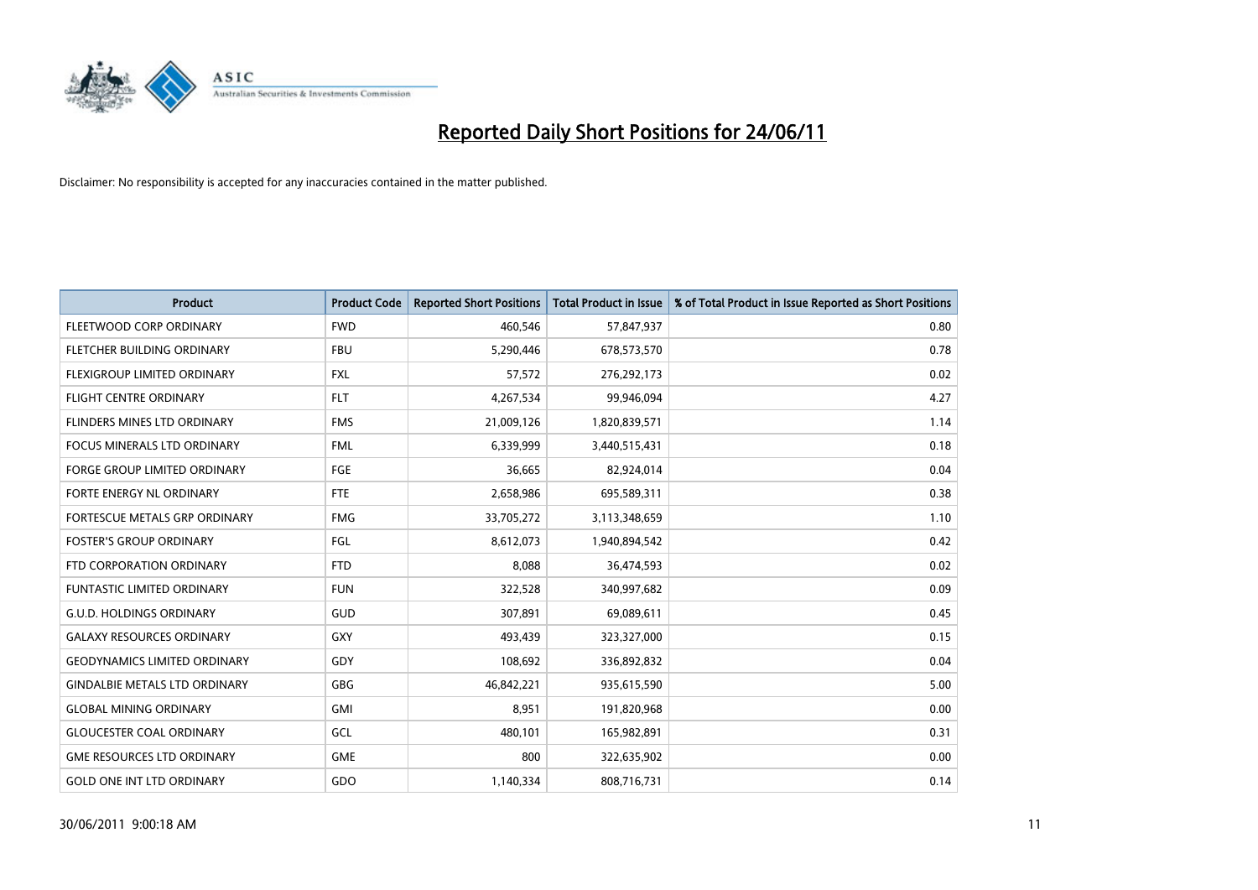

| <b>Product</b>                       | <b>Product Code</b> | <b>Reported Short Positions</b> | <b>Total Product in Issue</b> | % of Total Product in Issue Reported as Short Positions |
|--------------------------------------|---------------------|---------------------------------|-------------------------------|---------------------------------------------------------|
| FLEETWOOD CORP ORDINARY              | <b>FWD</b>          | 460.546                         | 57,847,937                    | 0.80                                                    |
| <b>FLETCHER BUILDING ORDINARY</b>    | <b>FBU</b>          | 5,290,446                       | 678,573,570                   | 0.78                                                    |
| FLEXIGROUP LIMITED ORDINARY          | <b>FXL</b>          | 57,572                          | 276,292,173                   | 0.02                                                    |
| <b>FLIGHT CENTRE ORDINARY</b>        | <b>FLT</b>          | 4,267,534                       | 99,946,094                    | 4.27                                                    |
| FLINDERS MINES LTD ORDINARY          | <b>FMS</b>          | 21,009,126                      | 1,820,839,571                 | 1.14                                                    |
| <b>FOCUS MINERALS LTD ORDINARY</b>   | <b>FML</b>          | 6,339,999                       | 3,440,515,431                 | 0.18                                                    |
| <b>FORGE GROUP LIMITED ORDINARY</b>  | FGE                 | 36,665                          | 82,924,014                    | 0.04                                                    |
| FORTE ENERGY NL ORDINARY             | <b>FTE</b>          | 2,658,986                       | 695,589,311                   | 0.38                                                    |
| FORTESCUE METALS GRP ORDINARY        | <b>FMG</b>          | 33,705,272                      | 3,113,348,659                 | 1.10                                                    |
| <b>FOSTER'S GROUP ORDINARY</b>       | FGL                 | 8,612,073                       | 1,940,894,542                 | 0.42                                                    |
| FTD CORPORATION ORDINARY             | <b>FTD</b>          | 8,088                           | 36,474,593                    | 0.02                                                    |
| FUNTASTIC LIMITED ORDINARY           | <b>FUN</b>          | 322,528                         | 340,997,682                   | 0.09                                                    |
| <b>G.U.D. HOLDINGS ORDINARY</b>      | <b>GUD</b>          | 307,891                         | 69,089,611                    | 0.45                                                    |
| <b>GALAXY RESOURCES ORDINARY</b>     | <b>GXY</b>          | 493,439                         | 323,327,000                   | 0.15                                                    |
| <b>GEODYNAMICS LIMITED ORDINARY</b>  | GDY                 | 108,692                         | 336,892,832                   | 0.04                                                    |
| <b>GINDALBIE METALS LTD ORDINARY</b> | <b>GBG</b>          | 46,842,221                      | 935,615,590                   | 5.00                                                    |
| <b>GLOBAL MINING ORDINARY</b>        | <b>GMI</b>          | 8,951                           | 191,820,968                   | 0.00                                                    |
| <b>GLOUCESTER COAL ORDINARY</b>      | GCL                 | 480,101                         | 165,982,891                   | 0.31                                                    |
| <b>GME RESOURCES LTD ORDINARY</b>    | <b>GME</b>          | 800                             | 322,635,902                   | 0.00                                                    |
| <b>GOLD ONE INT LTD ORDINARY</b>     | GDO                 | 1,140,334                       | 808,716,731                   | 0.14                                                    |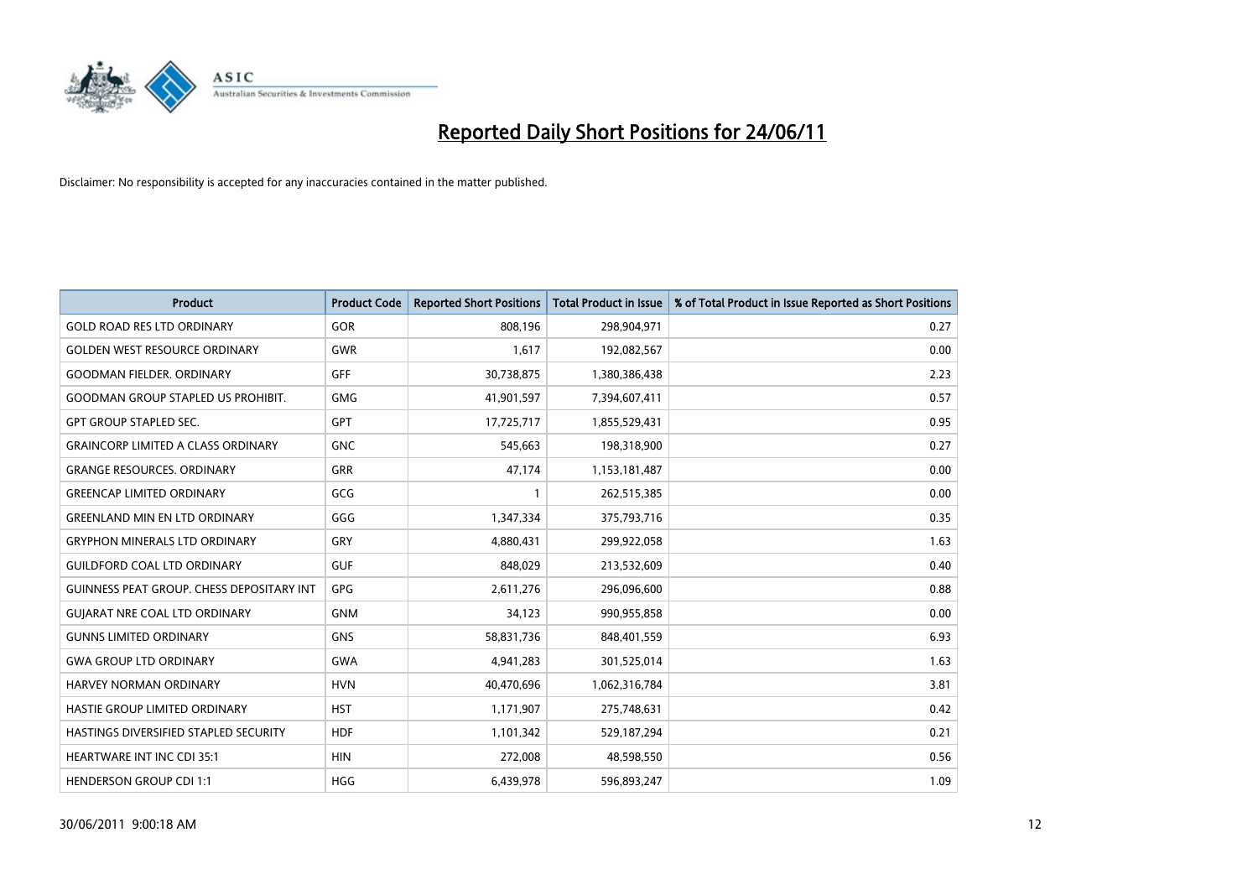

| <b>Product</b>                                   | <b>Product Code</b> | <b>Reported Short Positions</b> | <b>Total Product in Issue</b> | % of Total Product in Issue Reported as Short Positions |
|--------------------------------------------------|---------------------|---------------------------------|-------------------------------|---------------------------------------------------------|
| <b>GOLD ROAD RES LTD ORDINARY</b>                | GOR                 | 808,196                         | 298,904,971                   | 0.27                                                    |
| <b>GOLDEN WEST RESOURCE ORDINARY</b>             | <b>GWR</b>          | 1,617                           | 192,082,567                   | 0.00                                                    |
| <b>GOODMAN FIELDER, ORDINARY</b>                 | <b>GFF</b>          | 30,738,875                      | 1,380,386,438                 | 2.23                                                    |
| GOODMAN GROUP STAPLED US PROHIBIT.               | <b>GMG</b>          | 41,901,597                      | 7,394,607,411                 | 0.57                                                    |
| <b>GPT GROUP STAPLED SEC.</b>                    | <b>GPT</b>          | 17,725,717                      | 1,855,529,431                 | 0.95                                                    |
| <b>GRAINCORP LIMITED A CLASS ORDINARY</b>        | <b>GNC</b>          | 545,663                         | 198,318,900                   | 0.27                                                    |
| <b>GRANGE RESOURCES, ORDINARY</b>                | <b>GRR</b>          | 47,174                          | 1,153,181,487                 | 0.00                                                    |
| <b>GREENCAP LIMITED ORDINARY</b>                 | GCG                 |                                 | 262,515,385                   | 0.00                                                    |
| <b>GREENLAND MIN EN LTD ORDINARY</b>             | GGG                 | 1,347,334                       | 375,793,716                   | 0.35                                                    |
| <b>GRYPHON MINERALS LTD ORDINARY</b>             | GRY                 | 4,880,431                       | 299,922,058                   | 1.63                                                    |
| <b>GUILDFORD COAL LTD ORDINARY</b>               | <b>GUF</b>          | 848,029                         | 213,532,609                   | 0.40                                                    |
| <b>GUINNESS PEAT GROUP. CHESS DEPOSITARY INT</b> | GPG                 | 2,611,276                       | 296,096,600                   | 0.88                                                    |
| <b>GUIARAT NRE COAL LTD ORDINARY</b>             | <b>GNM</b>          | 34,123                          | 990,955,858                   | 0.00                                                    |
| <b>GUNNS LIMITED ORDINARY</b>                    | <b>GNS</b>          | 58,831,736                      | 848,401,559                   | 6.93                                                    |
| <b>GWA GROUP LTD ORDINARY</b>                    | <b>GWA</b>          | 4,941,283                       | 301,525,014                   | 1.63                                                    |
| HARVEY NORMAN ORDINARY                           | <b>HVN</b>          | 40,470,696                      | 1,062,316,784                 | 3.81                                                    |
| HASTIE GROUP LIMITED ORDINARY                    | <b>HST</b>          | 1,171,907                       | 275,748,631                   | 0.42                                                    |
| HASTINGS DIVERSIFIED STAPLED SECURITY            | <b>HDF</b>          | 1,101,342                       | 529,187,294                   | 0.21                                                    |
| <b>HEARTWARE INT INC CDI 35:1</b>                | <b>HIN</b>          | 272,008                         | 48,598,550                    | 0.56                                                    |
| <b>HENDERSON GROUP CDI 1:1</b>                   | <b>HGG</b>          | 6,439,978                       | 596,893,247                   | 1.09                                                    |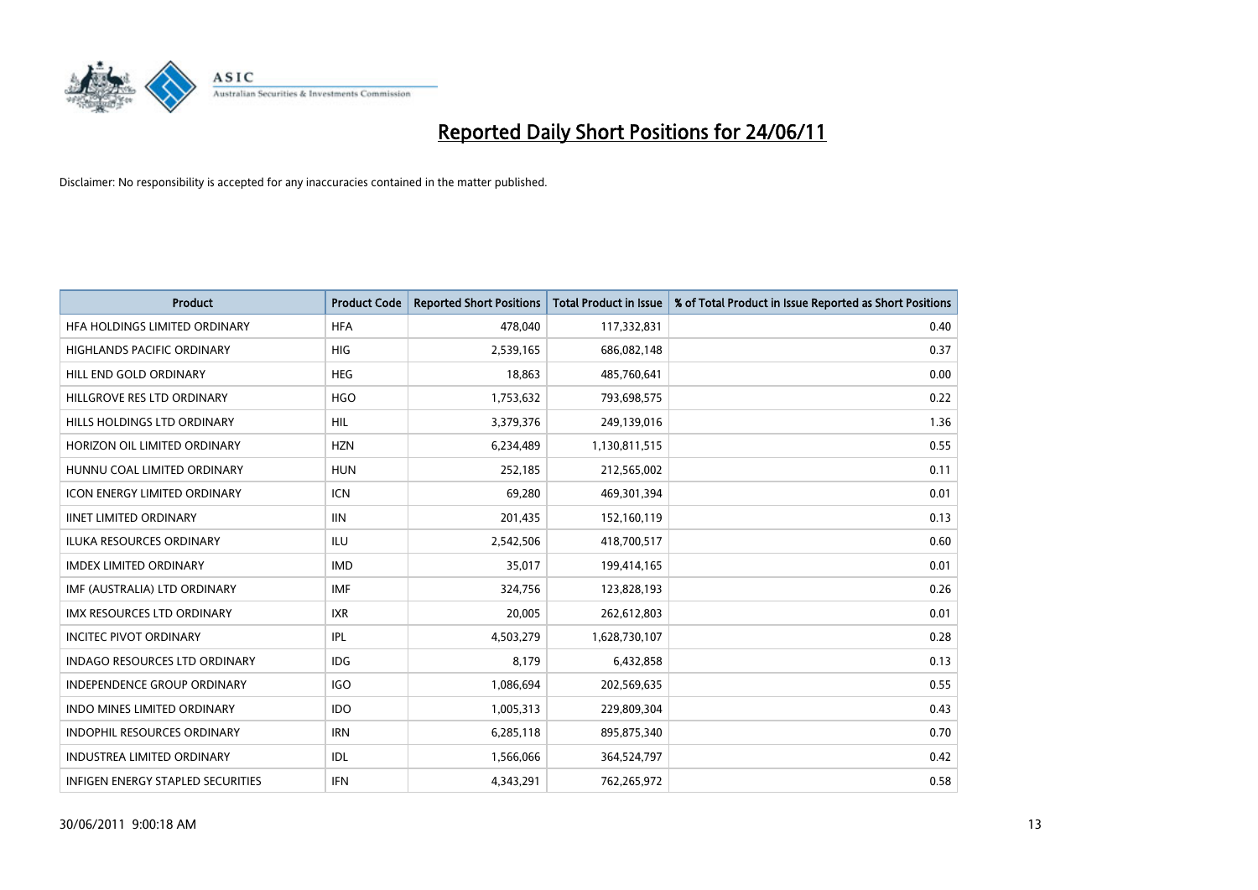

| <b>Product</b>                       | <b>Product Code</b> | <b>Reported Short Positions</b> | <b>Total Product in Issue</b> | % of Total Product in Issue Reported as Short Positions |
|--------------------------------------|---------------------|---------------------------------|-------------------------------|---------------------------------------------------------|
| HFA HOLDINGS LIMITED ORDINARY        | <b>HFA</b>          | 478.040                         | 117,332,831                   | 0.40                                                    |
| <b>HIGHLANDS PACIFIC ORDINARY</b>    | <b>HIG</b>          | 2,539,165                       | 686,082,148                   | 0.37                                                    |
| HILL END GOLD ORDINARY               | <b>HEG</b>          | 18,863                          | 485,760,641                   | 0.00                                                    |
| HILLGROVE RES LTD ORDINARY           | <b>HGO</b>          | 1,753,632                       | 793,698,575                   | 0.22                                                    |
| HILLS HOLDINGS LTD ORDINARY          | <b>HIL</b>          | 3,379,376                       | 249,139,016                   | 1.36                                                    |
| HORIZON OIL LIMITED ORDINARY         | <b>HZN</b>          | 6,234,489                       | 1,130,811,515                 | 0.55                                                    |
| HUNNU COAL LIMITED ORDINARY          | <b>HUN</b>          | 252,185                         | 212,565,002                   | 0.11                                                    |
| <b>ICON ENERGY LIMITED ORDINARY</b>  | <b>ICN</b>          | 69.280                          | 469,301,394                   | 0.01                                                    |
| <b>IINET LIMITED ORDINARY</b>        | <b>IIN</b>          | 201,435                         | 152,160,119                   | 0.13                                                    |
| <b>ILUKA RESOURCES ORDINARY</b>      | <b>ILU</b>          | 2,542,506                       | 418,700,517                   | 0.60                                                    |
| <b>IMDEX LIMITED ORDINARY</b>        | <b>IMD</b>          | 35,017                          | 199,414,165                   | 0.01                                                    |
| IMF (AUSTRALIA) LTD ORDINARY         | <b>IMF</b>          | 324,756                         | 123,828,193                   | 0.26                                                    |
| IMX RESOURCES LTD ORDINARY           | <b>IXR</b>          | 20,005                          | 262,612,803                   | 0.01                                                    |
| <b>INCITEC PIVOT ORDINARY</b>        | <b>IPL</b>          | 4,503,279                       | 1,628,730,107                 | 0.28                                                    |
| <b>INDAGO RESOURCES LTD ORDINARY</b> | <b>IDG</b>          | 8.179                           | 6,432,858                     | 0.13                                                    |
| <b>INDEPENDENCE GROUP ORDINARY</b>   | <b>IGO</b>          | 1,086,694                       | 202,569,635                   | 0.55                                                    |
| INDO MINES LIMITED ORDINARY          | <b>IDO</b>          | 1,005,313                       | 229,809,304                   | 0.43                                                    |
| INDOPHIL RESOURCES ORDINARY          | <b>IRN</b>          | 6,285,118                       | 895,875,340                   | 0.70                                                    |
| <b>INDUSTREA LIMITED ORDINARY</b>    | IDL                 | 1,566,066                       | 364,524,797                   | 0.42                                                    |
| INFIGEN ENERGY STAPLED SECURITIES    | <b>IFN</b>          | 4,343,291                       | 762,265,972                   | 0.58                                                    |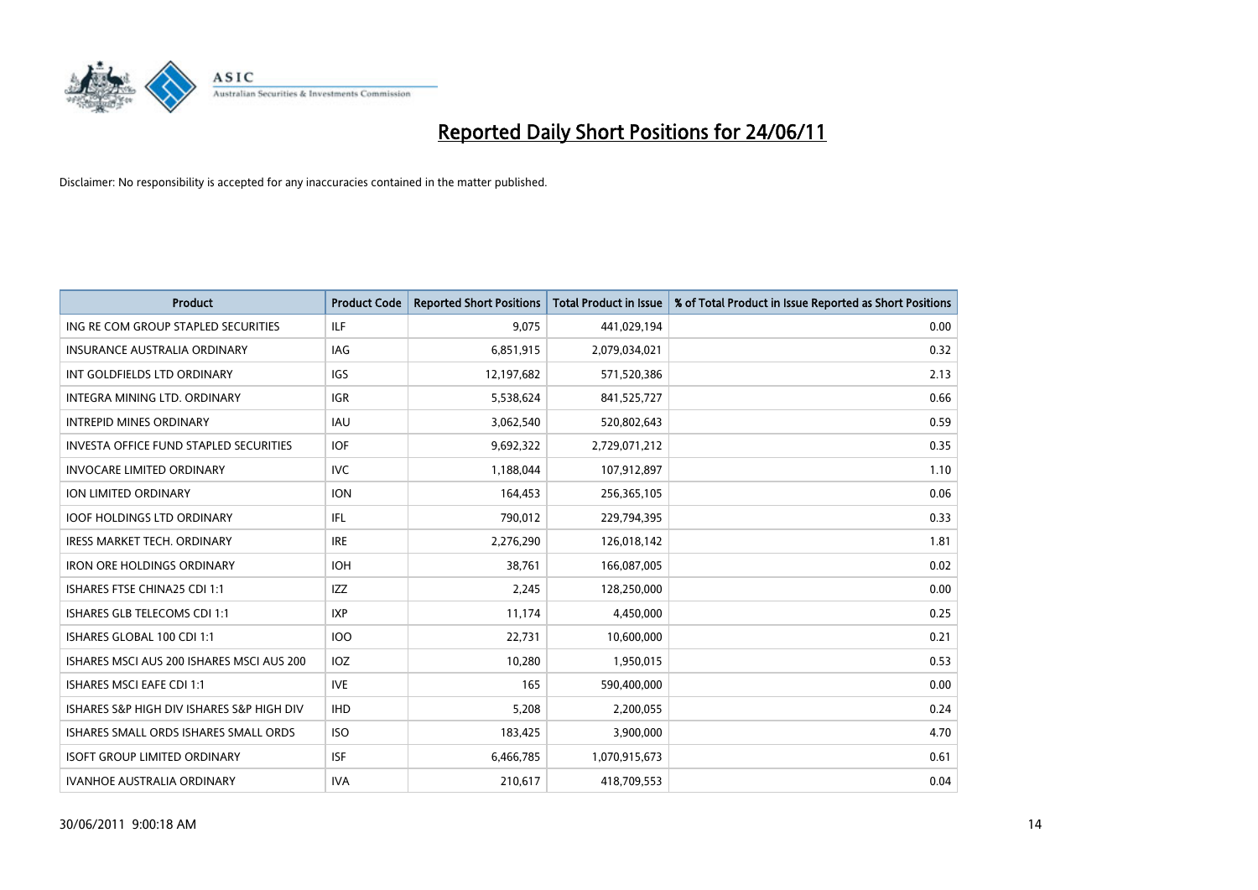

| <b>Product</b>                                | <b>Product Code</b> | <b>Reported Short Positions</b> | <b>Total Product in Issue</b> | % of Total Product in Issue Reported as Short Positions |
|-----------------------------------------------|---------------------|---------------------------------|-------------------------------|---------------------------------------------------------|
| ING RE COM GROUP STAPLED SECURITIES           | <b>ILF</b>          | 9,075                           | 441,029,194                   | 0.00                                                    |
| INSURANCE AUSTRALIA ORDINARY                  | <b>IAG</b>          | 6,851,915                       | 2,079,034,021                 | 0.32                                                    |
| INT GOLDFIELDS LTD ORDINARY                   | <b>IGS</b>          | 12,197,682                      | 571,520,386                   | 2.13                                                    |
| INTEGRA MINING LTD. ORDINARY                  | <b>IGR</b>          | 5,538,624                       | 841,525,727                   | 0.66                                                    |
| <b>INTREPID MINES ORDINARY</b>                | <b>IAU</b>          | 3,062,540                       | 520,802,643                   | 0.59                                                    |
| <b>INVESTA OFFICE FUND STAPLED SECURITIES</b> | <b>IOF</b>          | 9,692,322                       | 2,729,071,212                 | 0.35                                                    |
| <b>INVOCARE LIMITED ORDINARY</b>              | <b>IVC</b>          | 1,188,044                       | 107,912,897                   | 1.10                                                    |
| ION LIMITED ORDINARY                          | <b>ION</b>          | 164,453                         | 256,365,105                   | 0.06                                                    |
| <b>IOOF HOLDINGS LTD ORDINARY</b>             | IFL.                | 790,012                         | 229,794,395                   | 0.33                                                    |
| <b>IRESS MARKET TECH. ORDINARY</b>            | <b>IRE</b>          | 2,276,290                       | 126,018,142                   | 1.81                                                    |
| <b>IRON ORE HOLDINGS ORDINARY</b>             | <b>IOH</b>          | 38,761                          | 166,087,005                   | 0.02                                                    |
| ISHARES FTSE CHINA25 CDI 1:1                  | <b>IZZ</b>          | 2,245                           | 128,250,000                   | 0.00                                                    |
| ISHARES GLB TELECOMS CDI 1:1                  | <b>IXP</b>          | 11,174                          | 4,450,000                     | 0.25                                                    |
| ISHARES GLOBAL 100 CDI 1:1                    | <b>IOO</b>          | 22,731                          | 10,600,000                    | 0.21                                                    |
| ISHARES MSCI AUS 200 ISHARES MSCI AUS 200     | <b>IOZ</b>          | 10,280                          | 1,950,015                     | 0.53                                                    |
| <b>ISHARES MSCI EAFE CDI 1:1</b>              | <b>IVE</b>          | 165                             | 590,400,000                   | 0.00                                                    |
| ISHARES S&P HIGH DIV ISHARES S&P HIGH DIV     | <b>IHD</b>          | 5,208                           | 2,200,055                     | 0.24                                                    |
| ISHARES SMALL ORDS ISHARES SMALL ORDS         | <b>ISO</b>          | 183,425                         | 3,900,000                     | 4.70                                                    |
| <b>ISOFT GROUP LIMITED ORDINARY</b>           | <b>ISF</b>          | 6,466,785                       | 1,070,915,673                 | 0.61                                                    |
| <b>IVANHOE AUSTRALIA ORDINARY</b>             | <b>IVA</b>          | 210,617                         | 418,709,553                   | 0.04                                                    |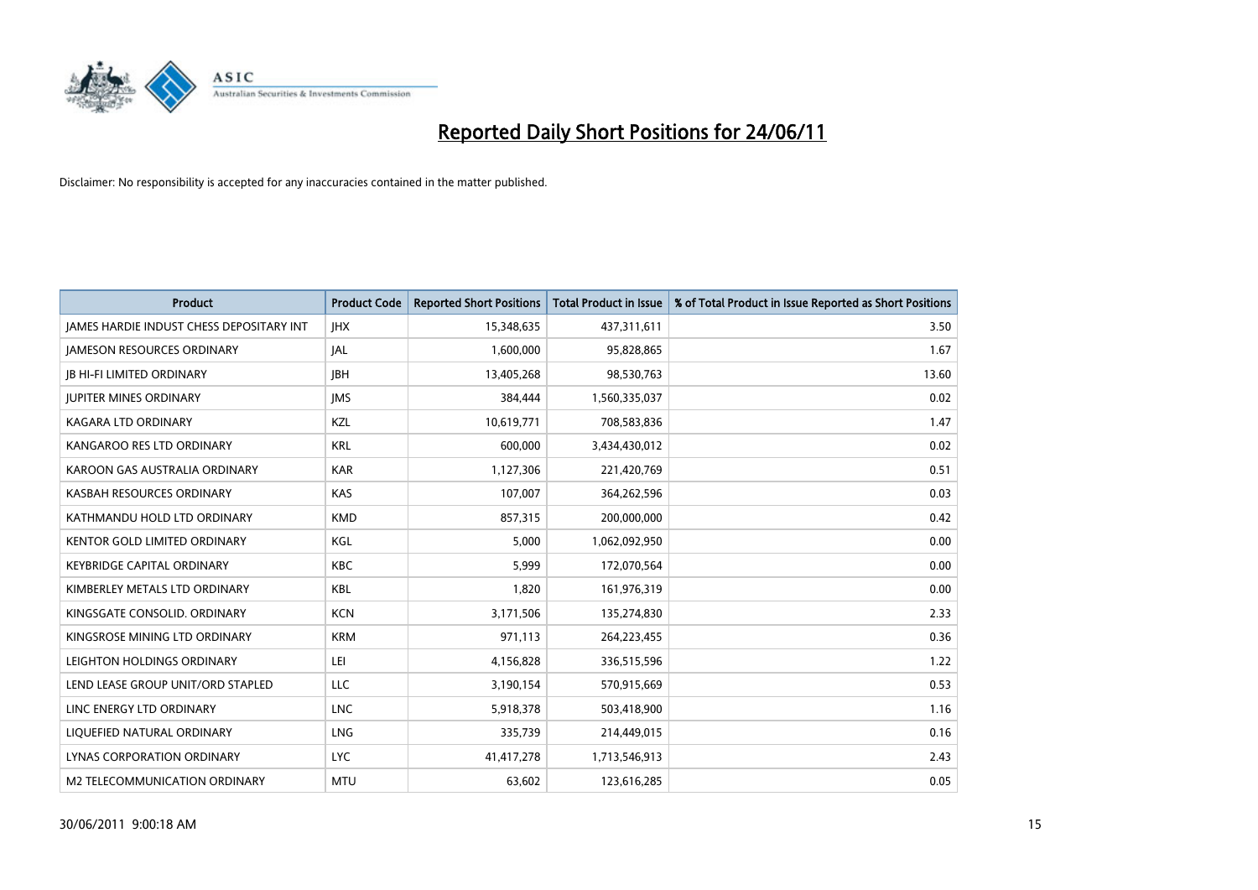

| <b>Product</b>                                  | <b>Product Code</b> | <b>Reported Short Positions</b> | <b>Total Product in Issue</b> | % of Total Product in Issue Reported as Short Positions |
|-------------------------------------------------|---------------------|---------------------------------|-------------------------------|---------------------------------------------------------|
| <b>JAMES HARDIE INDUST CHESS DEPOSITARY INT</b> | <b>JHX</b>          | 15,348,635                      | 437,311,611                   | 3.50                                                    |
| <b>JAMESON RESOURCES ORDINARY</b>               | <b>JAL</b>          | 1,600,000                       | 95,828,865                    | 1.67                                                    |
| <b>JB HI-FI LIMITED ORDINARY</b>                | <b>IBH</b>          | 13,405,268                      | 98,530,763                    | 13.60                                                   |
| <b>JUPITER MINES ORDINARY</b>                   | <b>IMS</b>          | 384,444                         | 1,560,335,037                 | 0.02                                                    |
| <b>KAGARA LTD ORDINARY</b>                      | KZL                 | 10,619,771                      | 708,583,836                   | 1.47                                                    |
| KANGAROO RES LTD ORDINARY                       | <b>KRL</b>          | 600.000                         | 3,434,430,012                 | 0.02                                                    |
| KAROON GAS AUSTRALIA ORDINARY                   | <b>KAR</b>          | 1,127,306                       | 221,420,769                   | 0.51                                                    |
| KASBAH RESOURCES ORDINARY                       | <b>KAS</b>          | 107,007                         | 364,262,596                   | 0.03                                                    |
| KATHMANDU HOLD LTD ORDINARY                     | <b>KMD</b>          | 857,315                         | 200,000,000                   | 0.42                                                    |
| <b>KENTOR GOLD LIMITED ORDINARY</b>             | KGL                 | 5,000                           | 1,062,092,950                 | 0.00                                                    |
| KEYBRIDGE CAPITAL ORDINARY                      | <b>KBC</b>          | 5,999                           | 172,070,564                   | 0.00                                                    |
| KIMBERLEY METALS LTD ORDINARY                   | <b>KBL</b>          | 1,820                           | 161,976,319                   | 0.00                                                    |
| KINGSGATE CONSOLID. ORDINARY                    | <b>KCN</b>          | 3,171,506                       | 135,274,830                   | 2.33                                                    |
| KINGSROSE MINING LTD ORDINARY                   | <b>KRM</b>          | 971,113                         | 264,223,455                   | 0.36                                                    |
| LEIGHTON HOLDINGS ORDINARY                      | LEI                 | 4,156,828                       | 336,515,596                   | 1.22                                                    |
| LEND LEASE GROUP UNIT/ORD STAPLED               | LLC                 | 3,190,154                       | 570,915,669                   | 0.53                                                    |
| LINC ENERGY LTD ORDINARY                        | <b>LNC</b>          | 5,918,378                       | 503,418,900                   | 1.16                                                    |
| LIQUEFIED NATURAL ORDINARY                      | LNG                 | 335,739                         | 214,449,015                   | 0.16                                                    |
| LYNAS CORPORATION ORDINARY                      | <b>LYC</b>          | 41,417,278                      | 1,713,546,913                 | 2.43                                                    |
| M2 TELECOMMUNICATION ORDINARY                   | <b>MTU</b>          | 63,602                          | 123,616,285                   | 0.05                                                    |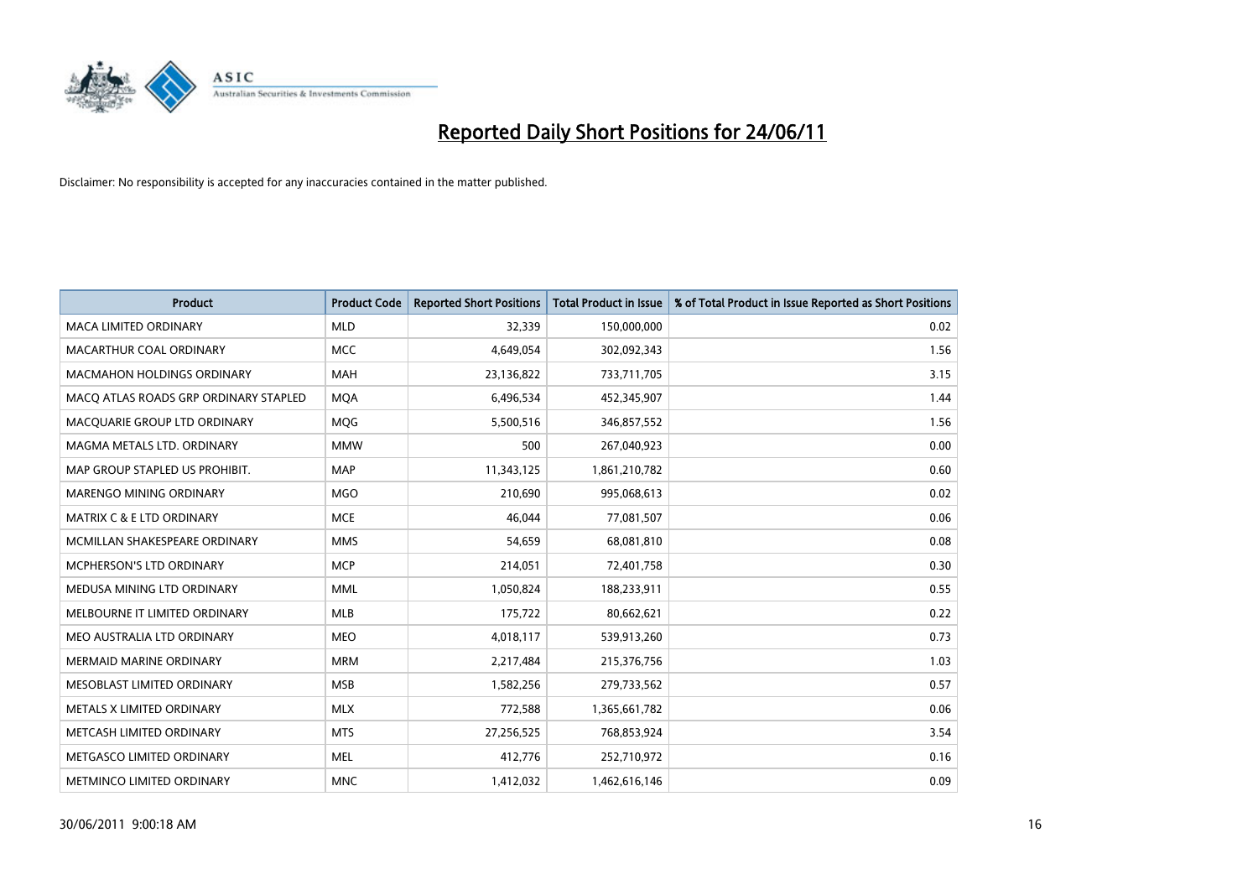

| <b>Product</b>                        | <b>Product Code</b> | <b>Reported Short Positions</b> | Total Product in Issue | % of Total Product in Issue Reported as Short Positions |
|---------------------------------------|---------------------|---------------------------------|------------------------|---------------------------------------------------------|
| <b>MACA LIMITED ORDINARY</b>          | <b>MLD</b>          | 32,339                          | 150,000,000            | 0.02                                                    |
| MACARTHUR COAL ORDINARY               | <b>MCC</b>          | 4,649,054                       | 302,092,343            | 1.56                                                    |
| <b>MACMAHON HOLDINGS ORDINARY</b>     | <b>MAH</b>          | 23,136,822                      | 733,711,705            | 3.15                                                    |
| MACQ ATLAS ROADS GRP ORDINARY STAPLED | <b>MOA</b>          | 6,496,534                       | 452,345,907            | 1.44                                                    |
| MACQUARIE GROUP LTD ORDINARY          | MQG                 | 5,500,516                       | 346,857,552            | 1.56                                                    |
| MAGMA METALS LTD. ORDINARY            | <b>MMW</b>          | 500                             | 267,040,923            | 0.00                                                    |
| MAP GROUP STAPLED US PROHIBIT.        | <b>MAP</b>          | 11,343,125                      | 1,861,210,782          | 0.60                                                    |
| MARENGO MINING ORDINARY               | <b>MGO</b>          | 210,690                         | 995,068,613            | 0.02                                                    |
| <b>MATRIX C &amp; E LTD ORDINARY</b>  | <b>MCE</b>          | 46.044                          | 77,081,507             | 0.06                                                    |
| MCMILLAN SHAKESPEARE ORDINARY         | <b>MMS</b>          | 54,659                          | 68,081,810             | 0.08                                                    |
| MCPHERSON'S LTD ORDINARY              | <b>MCP</b>          | 214,051                         | 72,401,758             | 0.30                                                    |
| MEDUSA MINING LTD ORDINARY            | <b>MML</b>          | 1,050,824                       | 188,233,911            | 0.55                                                    |
| MELBOURNE IT LIMITED ORDINARY         | <b>MLB</b>          | 175,722                         | 80,662,621             | 0.22                                                    |
| MEO AUSTRALIA LTD ORDINARY            | <b>MEO</b>          | 4,018,117                       | 539,913,260            | 0.73                                                    |
| <b>MERMAID MARINE ORDINARY</b>        | <b>MRM</b>          | 2,217,484                       | 215,376,756            | 1.03                                                    |
| MESOBLAST LIMITED ORDINARY            | <b>MSB</b>          | 1,582,256                       | 279,733,562            | 0.57                                                    |
| METALS X LIMITED ORDINARY             | <b>MLX</b>          | 772,588                         | 1,365,661,782          | 0.06                                                    |
| METCASH LIMITED ORDINARY              | <b>MTS</b>          | 27,256,525                      | 768,853,924            | 3.54                                                    |
| METGASCO LIMITED ORDINARY             | <b>MEL</b>          | 412,776                         | 252,710,972            | 0.16                                                    |
| METMINCO LIMITED ORDINARY             | <b>MNC</b>          | 1,412,032                       | 1,462,616,146          | 0.09                                                    |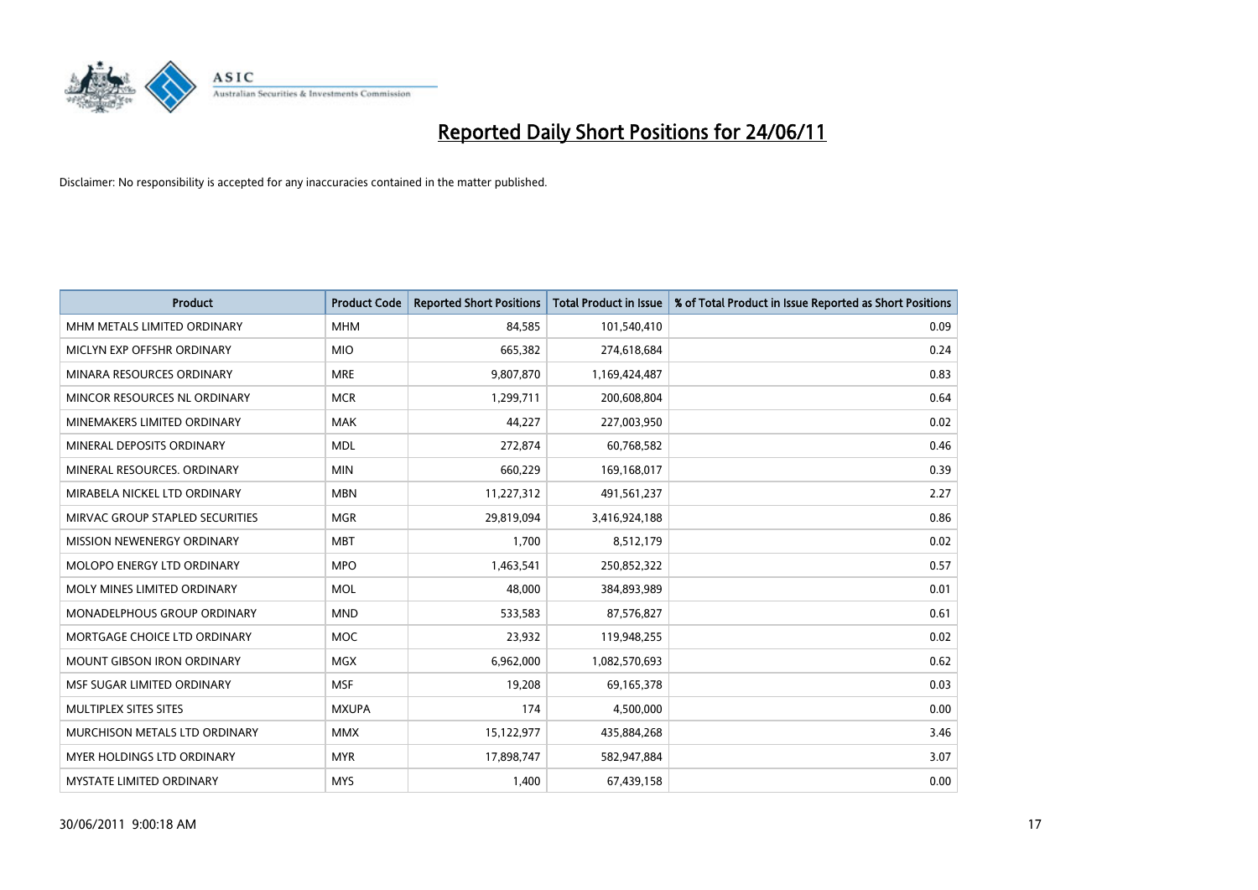

| <b>Product</b>                    | <b>Product Code</b> | <b>Reported Short Positions</b> | <b>Total Product in Issue</b> | % of Total Product in Issue Reported as Short Positions |
|-----------------------------------|---------------------|---------------------------------|-------------------------------|---------------------------------------------------------|
| MHM METALS LIMITED ORDINARY       | <b>MHM</b>          | 84.585                          | 101,540,410                   | 0.09                                                    |
| MICLYN EXP OFFSHR ORDINARY        | <b>MIO</b>          | 665,382                         | 274,618,684                   | 0.24                                                    |
| MINARA RESOURCES ORDINARY         | <b>MRE</b>          | 9,807,870                       | 1,169,424,487                 | 0.83                                                    |
| MINCOR RESOURCES NL ORDINARY      | <b>MCR</b>          | 1,299,711                       | 200,608,804                   | 0.64                                                    |
| MINEMAKERS LIMITED ORDINARY       | <b>MAK</b>          | 44,227                          | 227,003,950                   | 0.02                                                    |
| MINERAL DEPOSITS ORDINARY         | <b>MDL</b>          | 272,874                         | 60,768,582                    | 0.46                                                    |
| MINERAL RESOURCES, ORDINARY       | <b>MIN</b>          | 660.229                         | 169,168,017                   | 0.39                                                    |
| MIRABELA NICKEL LTD ORDINARY      | <b>MBN</b>          | 11,227,312                      | 491,561,237                   | 2.27                                                    |
| MIRVAC GROUP STAPLED SECURITIES   | <b>MGR</b>          | 29,819,094                      | 3,416,924,188                 | 0.86                                                    |
| MISSION NEWENERGY ORDINARY        | <b>MBT</b>          | 1,700                           | 8,512,179                     | 0.02                                                    |
| MOLOPO ENERGY LTD ORDINARY        | <b>MPO</b>          | 1,463,541                       | 250,852,322                   | 0.57                                                    |
| MOLY MINES LIMITED ORDINARY       | <b>MOL</b>          | 48,000                          | 384,893,989                   | 0.01                                                    |
| MONADELPHOUS GROUP ORDINARY       | <b>MND</b>          | 533,583                         | 87,576,827                    | 0.61                                                    |
| MORTGAGE CHOICE LTD ORDINARY      | <b>MOC</b>          | 23,932                          | 119,948,255                   | 0.02                                                    |
| <b>MOUNT GIBSON IRON ORDINARY</b> | <b>MGX</b>          | 6,962,000                       | 1,082,570,693                 | 0.62                                                    |
| MSF SUGAR LIMITED ORDINARY        | <b>MSF</b>          | 19,208                          | 69,165,378                    | 0.03                                                    |
| MULTIPLEX SITES SITES             | <b>MXUPA</b>        | 174                             | 4,500,000                     | 0.00                                                    |
| MURCHISON METALS LTD ORDINARY     | <b>MMX</b>          | 15,122,977                      | 435,884,268                   | 3.46                                                    |
| <b>MYER HOLDINGS LTD ORDINARY</b> | <b>MYR</b>          | 17,898,747                      | 582,947,884                   | 3.07                                                    |
| <b>MYSTATE LIMITED ORDINARY</b>   | <b>MYS</b>          | 1.400                           | 67,439,158                    | 0.00                                                    |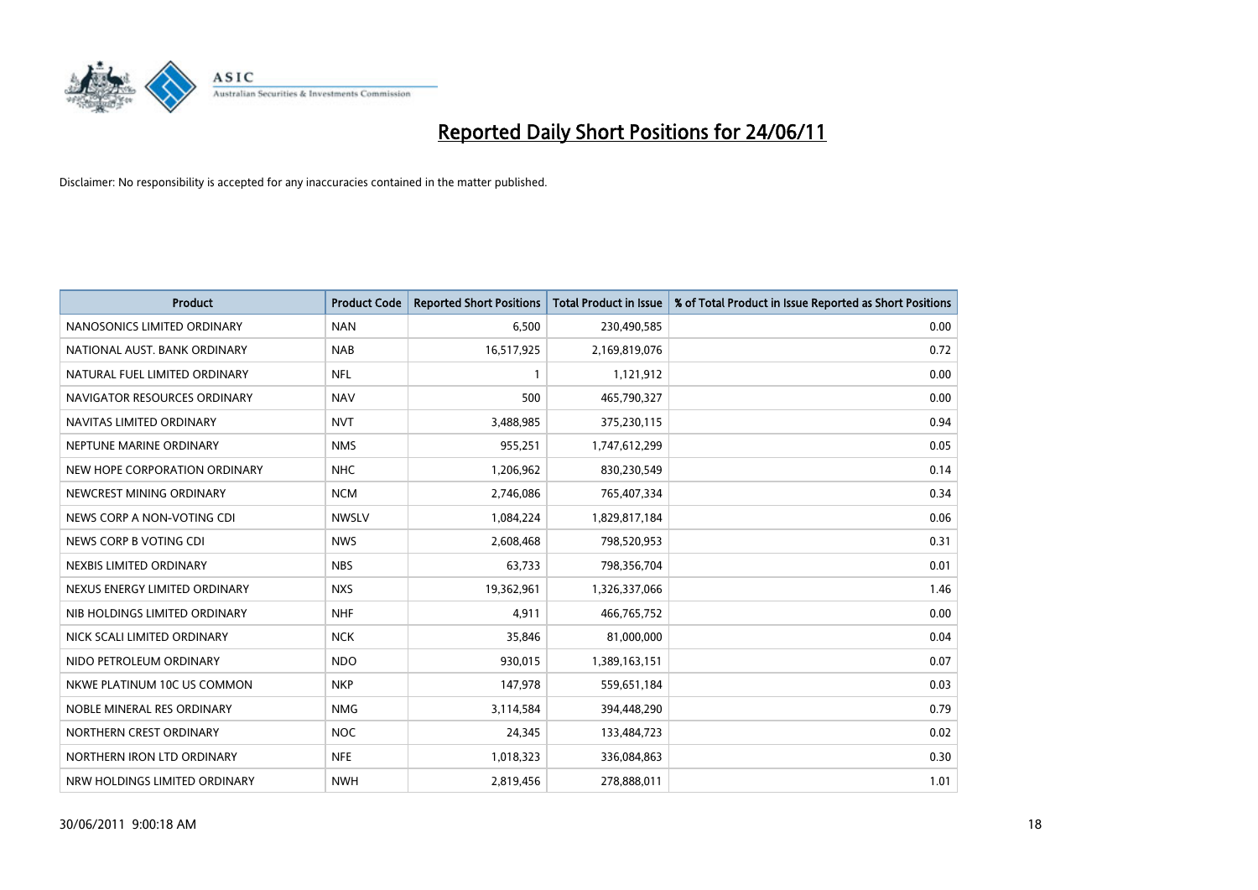

| <b>Product</b>                | <b>Product Code</b> | <b>Reported Short Positions</b> | <b>Total Product in Issue</b> | % of Total Product in Issue Reported as Short Positions |
|-------------------------------|---------------------|---------------------------------|-------------------------------|---------------------------------------------------------|
| NANOSONICS LIMITED ORDINARY   | <b>NAN</b>          | 6,500                           | 230,490,585                   | 0.00                                                    |
| NATIONAL AUST. BANK ORDINARY  | <b>NAB</b>          | 16,517,925                      | 2,169,819,076                 | 0.72                                                    |
| NATURAL FUEL LIMITED ORDINARY | <b>NFL</b>          |                                 | 1,121,912                     | 0.00                                                    |
| NAVIGATOR RESOURCES ORDINARY  | <b>NAV</b>          | 500                             | 465,790,327                   | 0.00                                                    |
| NAVITAS LIMITED ORDINARY      | <b>NVT</b>          | 3,488,985                       | 375,230,115                   | 0.94                                                    |
| NEPTUNE MARINE ORDINARY       | <b>NMS</b>          | 955,251                         | 1,747,612,299                 | 0.05                                                    |
| NEW HOPE CORPORATION ORDINARY | <b>NHC</b>          | 1,206,962                       | 830,230,549                   | 0.14                                                    |
| NEWCREST MINING ORDINARY      | <b>NCM</b>          | 2,746,086                       | 765,407,334                   | 0.34                                                    |
| NEWS CORP A NON-VOTING CDI    | <b>NWSLV</b>        | 1,084,224                       | 1,829,817,184                 | 0.06                                                    |
| NEWS CORP B VOTING CDI        | <b>NWS</b>          | 2,608,468                       | 798,520,953                   | 0.31                                                    |
| NEXBIS LIMITED ORDINARY       | <b>NBS</b>          | 63,733                          | 798,356,704                   | 0.01                                                    |
| NEXUS ENERGY LIMITED ORDINARY | <b>NXS</b>          | 19,362,961                      | 1,326,337,066                 | 1.46                                                    |
| NIB HOLDINGS LIMITED ORDINARY | <b>NHF</b>          | 4,911                           | 466,765,752                   | 0.00                                                    |
| NICK SCALI LIMITED ORDINARY   | <b>NCK</b>          | 35,846                          | 81,000,000                    | 0.04                                                    |
| NIDO PETROLEUM ORDINARY       | <b>NDO</b>          | 930,015                         | 1,389,163,151                 | 0.07                                                    |
| NKWE PLATINUM 10C US COMMON   | <b>NKP</b>          | 147,978                         | 559,651,184                   | 0.03                                                    |
| NOBLE MINERAL RES ORDINARY    | <b>NMG</b>          | 3,114,584                       | 394,448,290                   | 0.79                                                    |
| NORTHERN CREST ORDINARY       | <b>NOC</b>          | 24,345                          | 133,484,723                   | 0.02                                                    |
| NORTHERN IRON LTD ORDINARY    | <b>NFE</b>          | 1,018,323                       | 336,084,863                   | 0.30                                                    |
| NRW HOLDINGS LIMITED ORDINARY | <b>NWH</b>          | 2,819,456                       | 278,888,011                   | 1.01                                                    |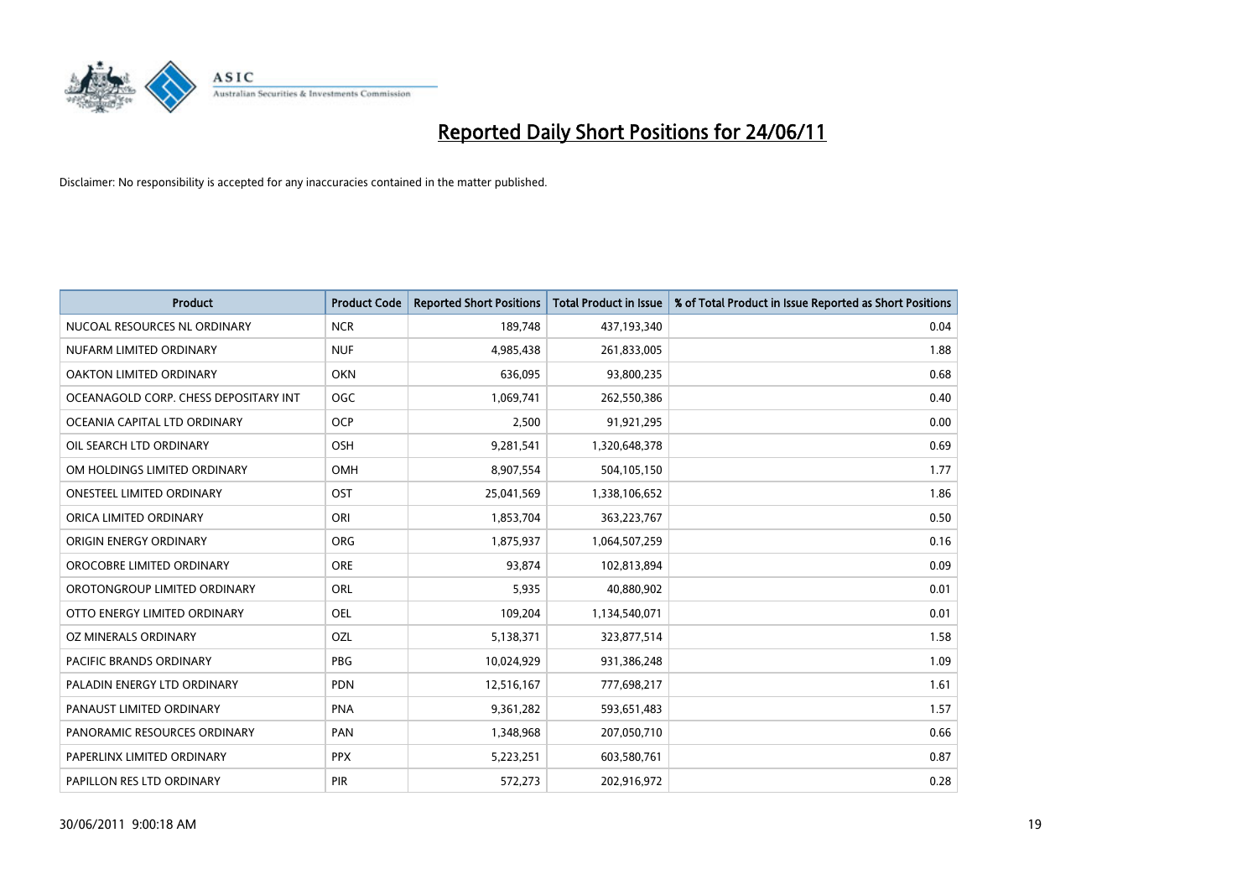

| <b>Product</b>                        | <b>Product Code</b> | <b>Reported Short Positions</b> | <b>Total Product in Issue</b> | % of Total Product in Issue Reported as Short Positions |
|---------------------------------------|---------------------|---------------------------------|-------------------------------|---------------------------------------------------------|
| NUCOAL RESOURCES NL ORDINARY          | <b>NCR</b>          | 189,748                         | 437,193,340                   | 0.04                                                    |
| NUFARM LIMITED ORDINARY               | <b>NUF</b>          | 4,985,438                       | 261,833,005                   | 1.88                                                    |
| OAKTON LIMITED ORDINARY               | <b>OKN</b>          | 636.095                         | 93,800,235                    | 0.68                                                    |
| OCEANAGOLD CORP. CHESS DEPOSITARY INT | <b>OGC</b>          | 1,069,741                       | 262,550,386                   | 0.40                                                    |
| OCEANIA CAPITAL LTD ORDINARY          | OCP                 | 2,500                           | 91,921,295                    | 0.00                                                    |
| OIL SEARCH LTD ORDINARY               | <b>OSH</b>          | 9,281,541                       | 1,320,648,378                 | 0.69                                                    |
| OM HOLDINGS LIMITED ORDINARY          | <b>OMH</b>          | 8,907,554                       | 504,105,150                   | 1.77                                                    |
| ONESTEEL LIMITED ORDINARY             | OST                 | 25,041,569                      | 1,338,106,652                 | 1.86                                                    |
| ORICA LIMITED ORDINARY                | ORI                 | 1,853,704                       | 363,223,767                   | 0.50                                                    |
| ORIGIN ENERGY ORDINARY                | <b>ORG</b>          | 1,875,937                       | 1,064,507,259                 | 0.16                                                    |
| OROCOBRE LIMITED ORDINARY             | <b>ORE</b>          | 93,874                          | 102,813,894                   | 0.09                                                    |
| OROTONGROUP LIMITED ORDINARY          | <b>ORL</b>          | 5,935                           | 40,880,902                    | 0.01                                                    |
| OTTO ENERGY LIMITED ORDINARY          | OEL                 | 109,204                         | 1,134,540,071                 | 0.01                                                    |
| OZ MINERALS ORDINARY                  | OZL                 | 5,138,371                       | 323,877,514                   | 1.58                                                    |
| <b>PACIFIC BRANDS ORDINARY</b>        | <b>PBG</b>          | 10,024,929                      | 931,386,248                   | 1.09                                                    |
| PALADIN ENERGY LTD ORDINARY           | <b>PDN</b>          | 12,516,167                      | 777,698,217                   | 1.61                                                    |
| PANAUST LIMITED ORDINARY              | <b>PNA</b>          | 9,361,282                       | 593,651,483                   | 1.57                                                    |
| PANORAMIC RESOURCES ORDINARY          | PAN                 | 1,348,968                       | 207,050,710                   | 0.66                                                    |
| PAPERLINX LIMITED ORDINARY            | <b>PPX</b>          | 5,223,251                       | 603,580,761                   | 0.87                                                    |
| PAPILLON RES LTD ORDINARY             | PIR                 | 572,273                         | 202,916,972                   | 0.28                                                    |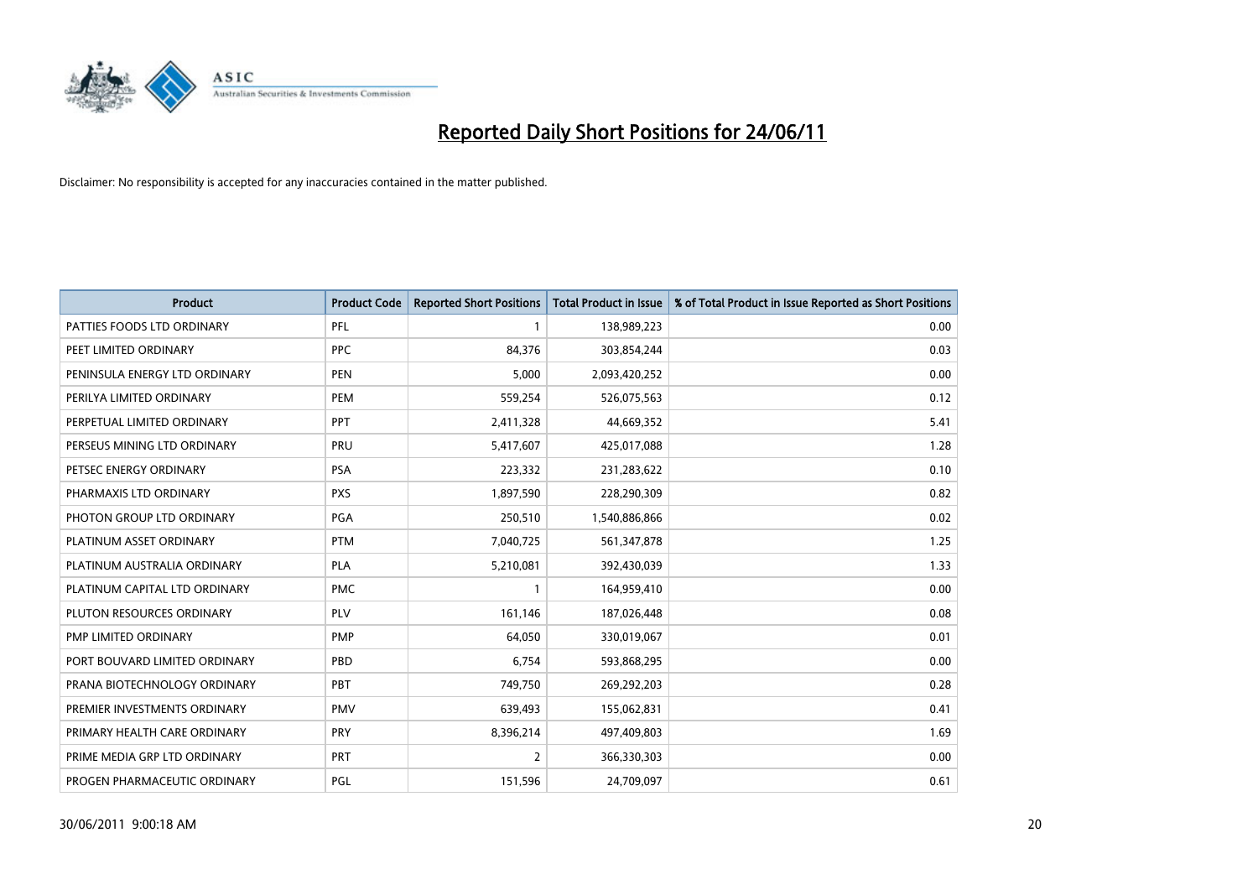

| <b>Product</b>                | <b>Product Code</b> | <b>Reported Short Positions</b> | <b>Total Product in Issue</b> | % of Total Product in Issue Reported as Short Positions |
|-------------------------------|---------------------|---------------------------------|-------------------------------|---------------------------------------------------------|
| PATTIES FOODS LTD ORDINARY    | PFL                 |                                 | 138,989,223                   | 0.00                                                    |
| PEET LIMITED ORDINARY         | <b>PPC</b>          | 84,376                          | 303,854,244                   | 0.03                                                    |
| PENINSULA ENERGY LTD ORDINARY | <b>PEN</b>          | 5.000                           | 2,093,420,252                 | 0.00                                                    |
| PERILYA LIMITED ORDINARY      | PEM                 | 559,254                         | 526,075,563                   | 0.12                                                    |
| PERPETUAL LIMITED ORDINARY    | PPT                 | 2,411,328                       | 44,669,352                    | 5.41                                                    |
| PERSEUS MINING LTD ORDINARY   | PRU                 | 5,417,607                       | 425,017,088                   | 1.28                                                    |
| PETSEC ENERGY ORDINARY        | <b>PSA</b>          | 223,332                         | 231,283,622                   | 0.10                                                    |
| PHARMAXIS LTD ORDINARY        | <b>PXS</b>          | 1,897,590                       | 228,290,309                   | 0.82                                                    |
| PHOTON GROUP LTD ORDINARY     | PGA                 | 250,510                         | 1,540,886,866                 | 0.02                                                    |
| PLATINUM ASSET ORDINARY       | <b>PTM</b>          | 7,040,725                       | 561,347,878                   | 1.25                                                    |
| PLATINUM AUSTRALIA ORDINARY   | <b>PLA</b>          | 5,210,081                       | 392,430,039                   | 1.33                                                    |
| PLATINUM CAPITAL LTD ORDINARY | <b>PMC</b>          |                                 | 164,959,410                   | 0.00                                                    |
| PLUTON RESOURCES ORDINARY     | PLV                 | 161,146                         | 187,026,448                   | 0.08                                                    |
| <b>PMP LIMITED ORDINARY</b>   | <b>PMP</b>          | 64,050                          | 330,019,067                   | 0.01                                                    |
| PORT BOUVARD LIMITED ORDINARY | PBD                 | 6,754                           | 593,868,295                   | 0.00                                                    |
| PRANA BIOTECHNOLOGY ORDINARY  | PBT                 | 749,750                         | 269,292,203                   | 0.28                                                    |
| PREMIER INVESTMENTS ORDINARY  | <b>PMV</b>          | 639,493                         | 155,062,831                   | 0.41                                                    |
| PRIMARY HEALTH CARE ORDINARY  | <b>PRY</b>          | 8,396,214                       | 497,409,803                   | 1.69                                                    |
| PRIME MEDIA GRP LTD ORDINARY  | <b>PRT</b>          | 2                               | 366,330,303                   | 0.00                                                    |
| PROGEN PHARMACEUTIC ORDINARY  | PGL                 | 151,596                         | 24,709,097                    | 0.61                                                    |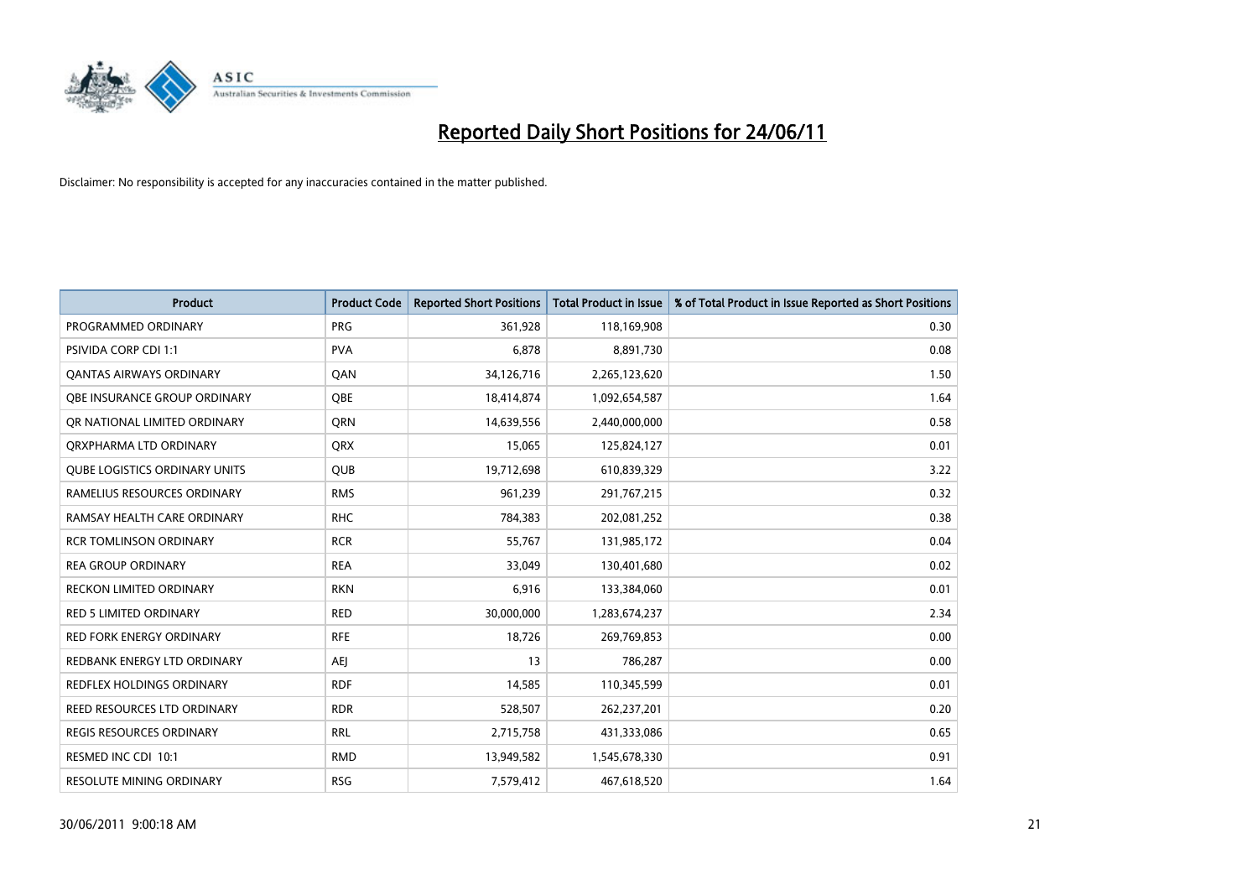

| <b>Product</b>                       | <b>Product Code</b> | <b>Reported Short Positions</b> | Total Product in Issue | % of Total Product in Issue Reported as Short Positions |
|--------------------------------------|---------------------|---------------------------------|------------------------|---------------------------------------------------------|
| PROGRAMMED ORDINARY                  | <b>PRG</b>          | 361,928                         | 118,169,908            | 0.30                                                    |
| PSIVIDA CORP CDI 1:1                 | <b>PVA</b>          | 6,878                           | 8,891,730              | 0.08                                                    |
| OANTAS AIRWAYS ORDINARY              | QAN                 | 34,126,716                      | 2,265,123,620          | 1.50                                                    |
| OBE INSURANCE GROUP ORDINARY         | <b>OBE</b>          | 18,414,874                      | 1,092,654,587          | 1.64                                                    |
| OR NATIONAL LIMITED ORDINARY         | <b>ORN</b>          | 14,639,556                      | 2,440,000,000          | 0.58                                                    |
| ORXPHARMA LTD ORDINARY               | <b>ORX</b>          | 15,065                          | 125,824,127            | 0.01                                                    |
| <b>QUBE LOGISTICS ORDINARY UNITS</b> | <b>QUB</b>          | 19,712,698                      | 610,839,329            | 3.22                                                    |
| RAMELIUS RESOURCES ORDINARY          | <b>RMS</b>          | 961,239                         | 291,767,215            | 0.32                                                    |
| RAMSAY HEALTH CARE ORDINARY          | <b>RHC</b>          | 784,383                         | 202,081,252            | 0.38                                                    |
| <b>RCR TOMLINSON ORDINARY</b>        | <b>RCR</b>          | 55,767                          | 131,985,172            | 0.04                                                    |
| <b>REA GROUP ORDINARY</b>            | <b>REA</b>          | 33,049                          | 130,401,680            | 0.02                                                    |
| <b>RECKON LIMITED ORDINARY</b>       | <b>RKN</b>          | 6,916                           | 133,384,060            | 0.01                                                    |
| RED 5 LIMITED ORDINARY               | <b>RED</b>          | 30,000,000                      | 1,283,674,237          | 2.34                                                    |
| <b>RED FORK ENERGY ORDINARY</b>      | <b>RFE</b>          | 18,726                          | 269,769,853            | 0.00                                                    |
| REDBANK ENERGY LTD ORDINARY          | <b>AEI</b>          | 13                              | 786,287                | 0.00                                                    |
| REDFLEX HOLDINGS ORDINARY            | <b>RDF</b>          | 14,585                          | 110,345,599            | 0.01                                                    |
| REED RESOURCES LTD ORDINARY          | <b>RDR</b>          | 528,507                         | 262,237,201            | 0.20                                                    |
| REGIS RESOURCES ORDINARY             | <b>RRL</b>          | 2,715,758                       | 431,333,086            | 0.65                                                    |
| RESMED INC CDI 10:1                  | <b>RMD</b>          | 13,949,582                      | 1,545,678,330          | 0.91                                                    |
| RESOLUTE MINING ORDINARY             | <b>RSG</b>          | 7,579,412                       | 467,618,520            | 1.64                                                    |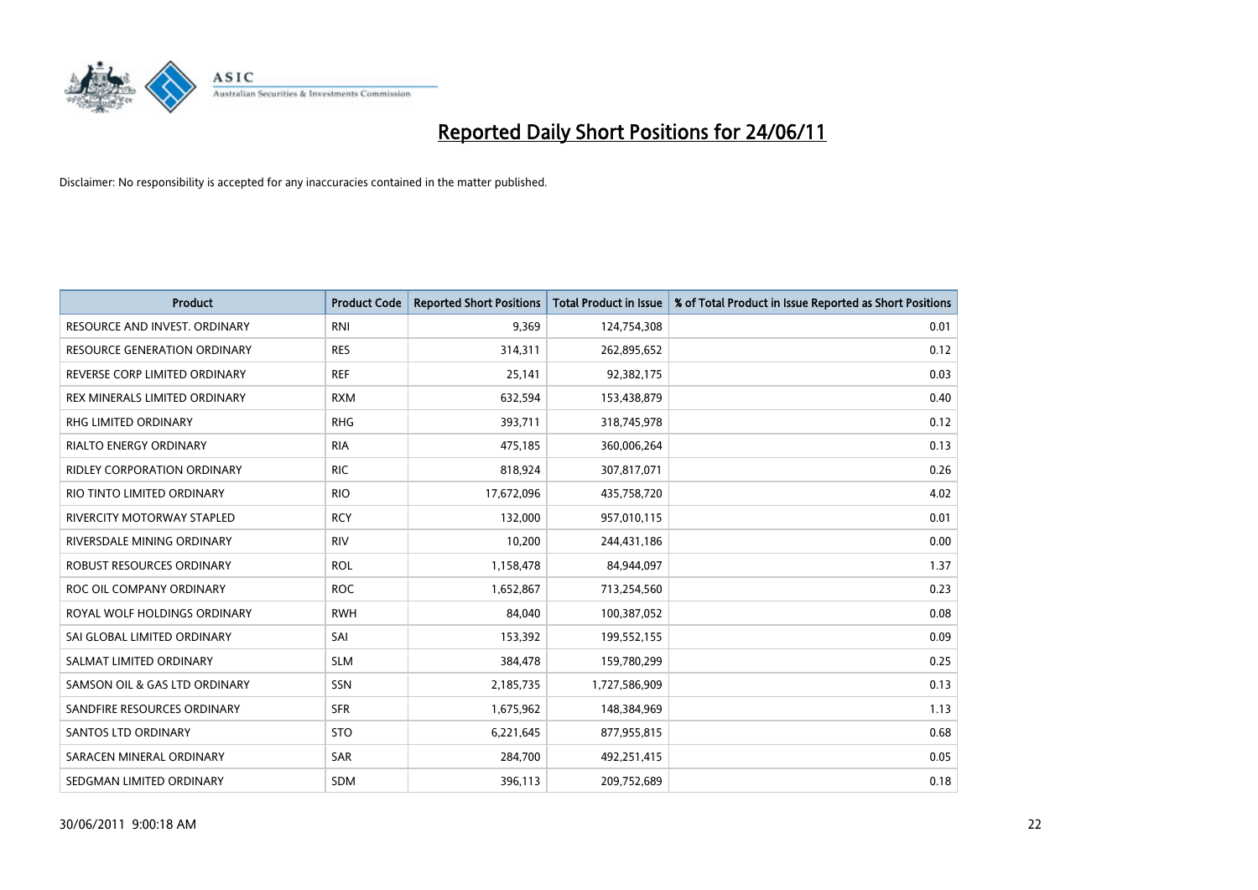

| <b>Product</b>                     | <b>Product Code</b> | <b>Reported Short Positions</b> | Total Product in Issue | % of Total Product in Issue Reported as Short Positions |
|------------------------------------|---------------------|---------------------------------|------------------------|---------------------------------------------------------|
| RESOURCE AND INVEST. ORDINARY      | <b>RNI</b>          | 9,369                           | 124,754,308            | 0.01                                                    |
| RESOURCE GENERATION ORDINARY       | <b>RES</b>          | 314,311                         | 262,895,652            | 0.12                                                    |
| REVERSE CORP LIMITED ORDINARY      | <b>REF</b>          | 25,141                          | 92,382,175             | 0.03                                                    |
| REX MINERALS LIMITED ORDINARY      | <b>RXM</b>          | 632,594                         | 153,438,879            | 0.40                                                    |
| RHG LIMITED ORDINARY               | <b>RHG</b>          | 393,711                         | 318,745,978            | 0.12                                                    |
| <b>RIALTO ENERGY ORDINARY</b>      | <b>RIA</b>          | 475,185                         | 360,006,264            | 0.13                                                    |
| <b>RIDLEY CORPORATION ORDINARY</b> | <b>RIC</b>          | 818,924                         | 307,817,071            | 0.26                                                    |
| RIO TINTO LIMITED ORDINARY         | <b>RIO</b>          | 17,672,096                      | 435,758,720            | 4.02                                                    |
| <b>RIVERCITY MOTORWAY STAPLED</b>  | <b>RCY</b>          | 132,000                         | 957,010,115            | 0.01                                                    |
| RIVERSDALE MINING ORDINARY         | <b>RIV</b>          | 10,200                          | 244,431,186            | 0.00                                                    |
| ROBUST RESOURCES ORDINARY          | <b>ROL</b>          | 1,158,478                       | 84,944,097             | 1.37                                                    |
| ROC OIL COMPANY ORDINARY           | <b>ROC</b>          | 1,652,867                       | 713,254,560            | 0.23                                                    |
| ROYAL WOLF HOLDINGS ORDINARY       | <b>RWH</b>          | 84,040                          | 100,387,052            | 0.08                                                    |
| SAI GLOBAL LIMITED ORDINARY        | SAI                 | 153,392                         | 199,552,155            | 0.09                                                    |
| SALMAT LIMITED ORDINARY            | <b>SLM</b>          | 384,478                         | 159,780,299            | 0.25                                                    |
| SAMSON OIL & GAS LTD ORDINARY      | SSN                 | 2,185,735                       | 1,727,586,909          | 0.13                                                    |
| SANDFIRE RESOURCES ORDINARY        | <b>SFR</b>          | 1,675,962                       | 148,384,969            | 1.13                                                    |
| <b>SANTOS LTD ORDINARY</b>         | <b>STO</b>          | 6,221,645                       | 877,955,815            | 0.68                                                    |
| SARACEN MINERAL ORDINARY           | SAR                 | 284,700                         | 492,251,415            | 0.05                                                    |
| SEDGMAN LIMITED ORDINARY           | <b>SDM</b>          | 396,113                         | 209,752,689            | 0.18                                                    |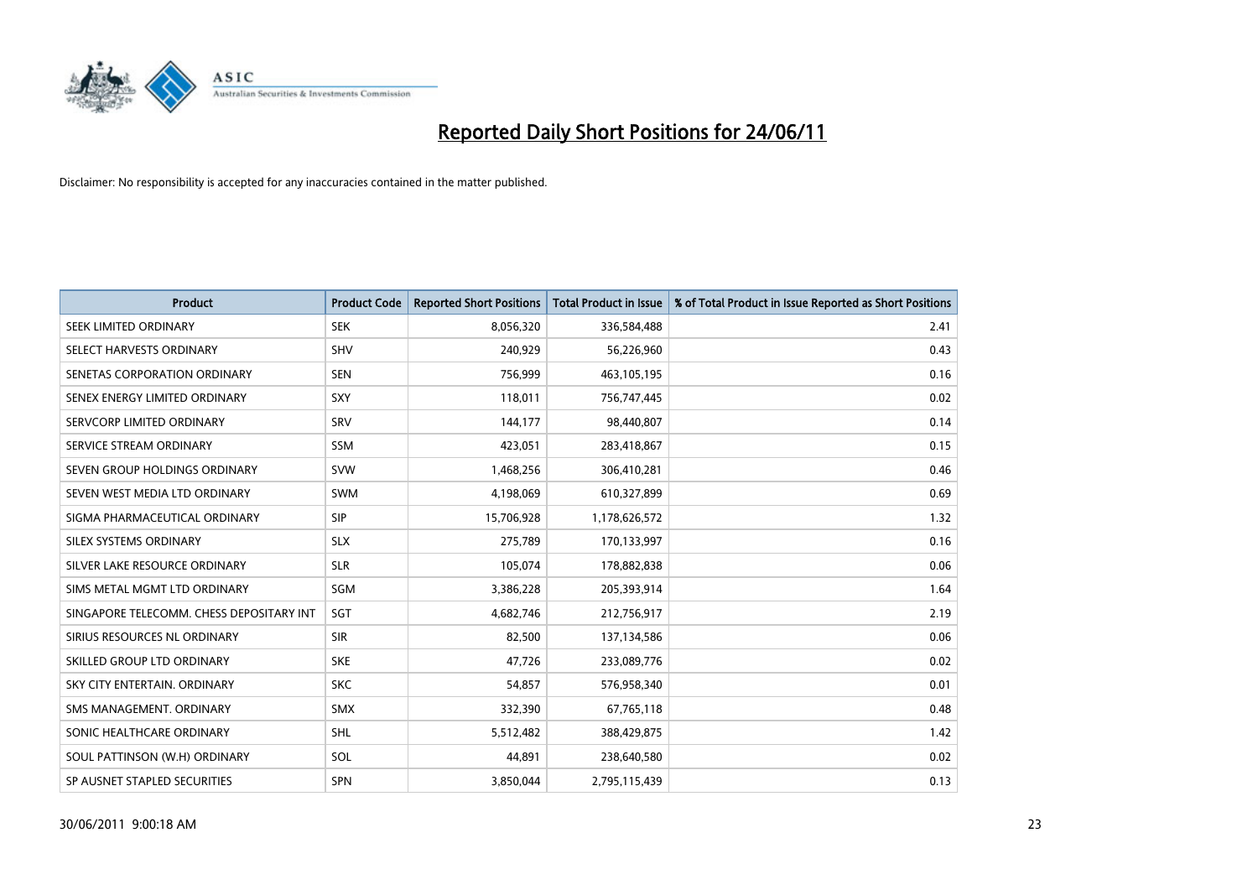

| <b>Product</b>                           | <b>Product Code</b> | <b>Reported Short Positions</b> | Total Product in Issue | % of Total Product in Issue Reported as Short Positions |
|------------------------------------------|---------------------|---------------------------------|------------------------|---------------------------------------------------------|
| SEEK LIMITED ORDINARY                    | <b>SEK</b>          | 8,056,320                       | 336,584,488            | 2.41                                                    |
| SELECT HARVESTS ORDINARY                 | <b>SHV</b>          | 240,929                         | 56,226,960             | 0.43                                                    |
| SENETAS CORPORATION ORDINARY             | <b>SEN</b>          | 756,999                         | 463,105,195            | 0.16                                                    |
| SENEX ENERGY LIMITED ORDINARY            | SXY                 | 118,011                         | 756,747,445            | 0.02                                                    |
| SERVCORP LIMITED ORDINARY                | SRV                 | 144,177                         | 98.440.807             | 0.14                                                    |
| SERVICE STREAM ORDINARY                  | <b>SSM</b>          | 423,051                         | 283,418,867            | 0.15                                                    |
| SEVEN GROUP HOLDINGS ORDINARY            | <b>SVW</b>          | 1,468,256                       | 306,410,281            | 0.46                                                    |
| SEVEN WEST MEDIA LTD ORDINARY            | SWM                 | 4,198,069                       | 610,327,899            | 0.69                                                    |
| SIGMA PHARMACEUTICAL ORDINARY            | <b>SIP</b>          | 15,706,928                      | 1,178,626,572          | 1.32                                                    |
| SILEX SYSTEMS ORDINARY                   | <b>SLX</b>          | 275,789                         | 170,133,997            | 0.16                                                    |
| SILVER LAKE RESOURCE ORDINARY            | <b>SLR</b>          | 105,074                         | 178,882,838            | 0.06                                                    |
| SIMS METAL MGMT LTD ORDINARY             | SGM                 | 3,386,228                       | 205,393,914            | 1.64                                                    |
| SINGAPORE TELECOMM. CHESS DEPOSITARY INT | SGT                 | 4.682.746                       | 212,756,917            | 2.19                                                    |
| SIRIUS RESOURCES NL ORDINARY             | <b>SIR</b>          | 82,500                          | 137,134,586            | 0.06                                                    |
| SKILLED GROUP LTD ORDINARY               | <b>SKE</b>          | 47,726                          | 233,089,776            | 0.02                                                    |
| SKY CITY ENTERTAIN, ORDINARY             | <b>SKC</b>          | 54,857                          | 576,958,340            | 0.01                                                    |
| SMS MANAGEMENT, ORDINARY                 | <b>SMX</b>          | 332,390                         | 67,765,118             | 0.48                                                    |
| SONIC HEALTHCARE ORDINARY                | <b>SHL</b>          | 5,512,482                       | 388,429,875            | 1.42                                                    |
| SOUL PATTINSON (W.H) ORDINARY            | SOL                 | 44.891                          | 238,640,580            | 0.02                                                    |
| SP AUSNET STAPLED SECURITIES             | <b>SPN</b>          | 3,850,044                       | 2,795,115,439          | 0.13                                                    |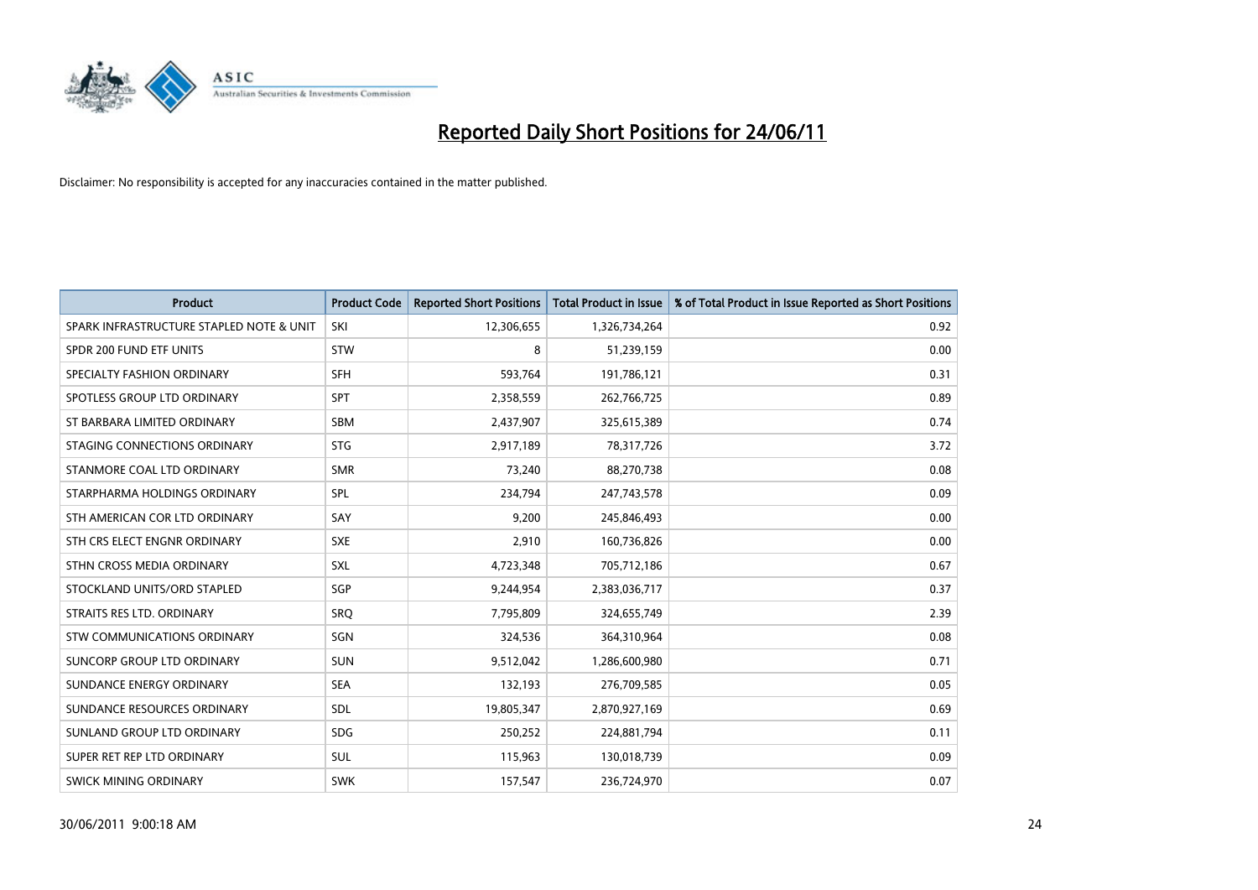

| <b>Product</b>                           | <b>Product Code</b> | <b>Reported Short Positions</b> | <b>Total Product in Issue</b> | % of Total Product in Issue Reported as Short Positions |
|------------------------------------------|---------------------|---------------------------------|-------------------------------|---------------------------------------------------------|
| SPARK INFRASTRUCTURE STAPLED NOTE & UNIT | SKI                 | 12,306,655                      | 1,326,734,264                 | 0.92                                                    |
| SPDR 200 FUND ETF UNITS                  | <b>STW</b>          | 8                               | 51,239,159                    | 0.00                                                    |
| SPECIALTY FASHION ORDINARY               | <b>SFH</b>          | 593,764                         | 191,786,121                   | 0.31                                                    |
| SPOTLESS GROUP LTD ORDINARY              | <b>SPT</b>          | 2,358,559                       | 262,766,725                   | 0.89                                                    |
| ST BARBARA LIMITED ORDINARY              | SBM                 | 2,437,907                       | 325,615,389                   | 0.74                                                    |
| STAGING CONNECTIONS ORDINARY             | <b>STG</b>          | 2,917,189                       | 78,317,726                    | 3.72                                                    |
| STANMORE COAL LTD ORDINARY               | <b>SMR</b>          | 73,240                          | 88,270,738                    | 0.08                                                    |
| STARPHARMA HOLDINGS ORDINARY             | <b>SPL</b>          | 234,794                         | 247,743,578                   | 0.09                                                    |
| STH AMERICAN COR LTD ORDINARY            | SAY                 | 9.200                           | 245,846,493                   | 0.00                                                    |
| STH CRS ELECT ENGNR ORDINARY             | <b>SXE</b>          | 2,910                           | 160,736,826                   | 0.00                                                    |
| STHN CROSS MEDIA ORDINARY                | <b>SXL</b>          | 4,723,348                       | 705,712,186                   | 0.67                                                    |
| STOCKLAND UNITS/ORD STAPLED              | <b>SGP</b>          | 9,244,954                       | 2,383,036,717                 | 0.37                                                    |
| STRAITS RES LTD. ORDINARY                | <b>SRO</b>          | 7,795,809                       | 324,655,749                   | 2.39                                                    |
| <b>STW COMMUNICATIONS ORDINARY</b>       | SGN                 | 324,536                         | 364,310,964                   | 0.08                                                    |
| SUNCORP GROUP LTD ORDINARY               | <b>SUN</b>          | 9,512,042                       | 1,286,600,980                 | 0.71                                                    |
| SUNDANCE ENERGY ORDINARY                 | <b>SEA</b>          | 132,193                         | 276,709,585                   | 0.05                                                    |
| SUNDANCE RESOURCES ORDINARY              | SDL                 | 19,805,347                      | 2,870,927,169                 | 0.69                                                    |
| SUNLAND GROUP LTD ORDINARY               | <b>SDG</b>          | 250,252                         | 224,881,794                   | 0.11                                                    |
| SUPER RET REP LTD ORDINARY               | SUL                 | 115,963                         | 130,018,739                   | 0.09                                                    |
| SWICK MINING ORDINARY                    | <b>SWK</b>          | 157,547                         | 236,724,970                   | 0.07                                                    |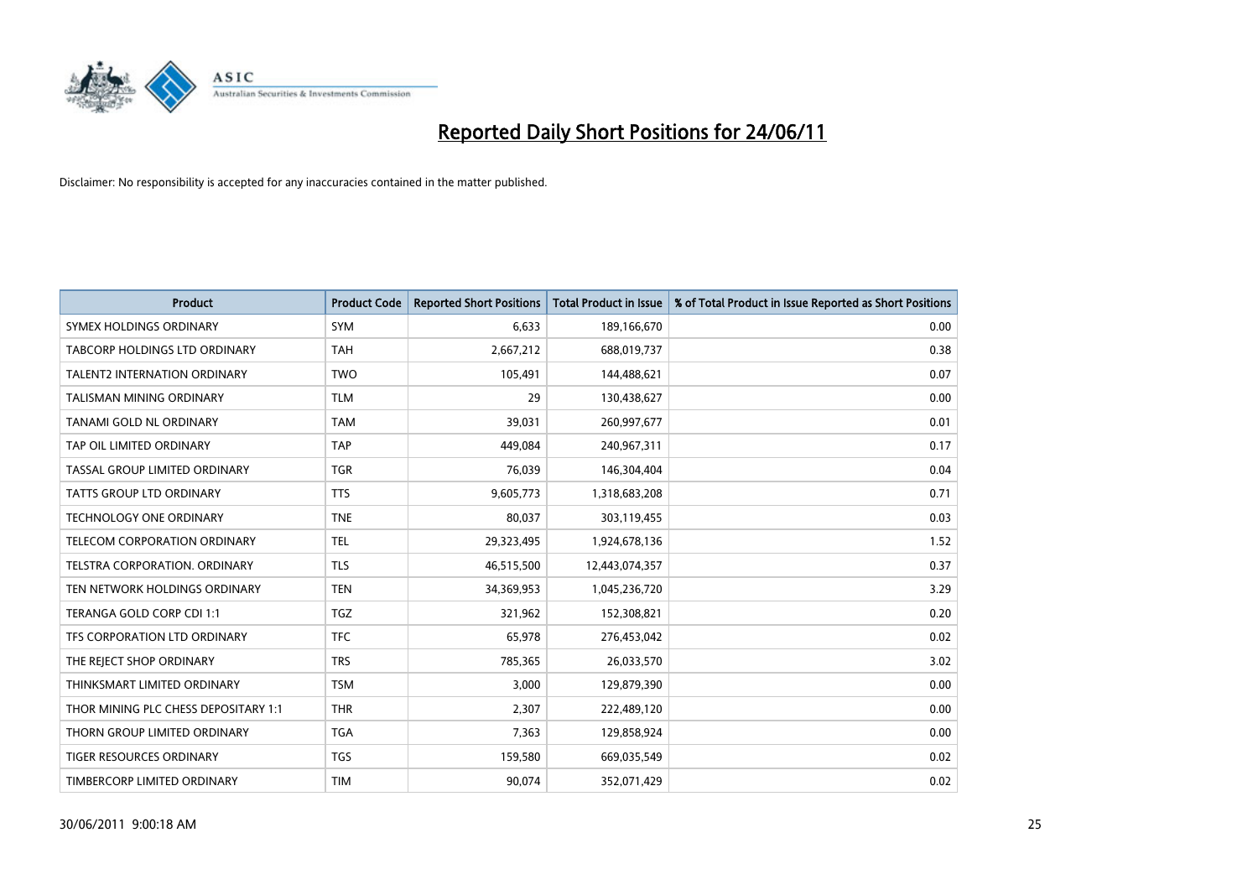

| <b>Product</b>                       | <b>Product Code</b> | <b>Reported Short Positions</b> | Total Product in Issue | % of Total Product in Issue Reported as Short Positions |
|--------------------------------------|---------------------|---------------------------------|------------------------|---------------------------------------------------------|
| SYMEX HOLDINGS ORDINARY              | SYM                 | 6,633                           | 189,166,670            | 0.00                                                    |
| TABCORP HOLDINGS LTD ORDINARY        | <b>TAH</b>          | 2,667,212                       | 688,019,737            | 0.38                                                    |
| <b>TALENT2 INTERNATION ORDINARY</b>  | <b>TWO</b>          | 105,491                         | 144,488,621            | 0.07                                                    |
| TALISMAN MINING ORDINARY             | <b>TLM</b>          | 29                              | 130,438,627            | 0.00                                                    |
| TANAMI GOLD NL ORDINARY              | <b>TAM</b>          | 39,031                          | 260,997,677            | 0.01                                                    |
| TAP OIL LIMITED ORDINARY             | <b>TAP</b>          | 449.084                         | 240,967,311            | 0.17                                                    |
| TASSAL GROUP LIMITED ORDINARY        | <b>TGR</b>          | 76,039                          | 146,304,404            | 0.04                                                    |
| TATTS GROUP LTD ORDINARY             | <b>TTS</b>          | 9,605,773                       | 1,318,683,208          | 0.71                                                    |
| <b>TECHNOLOGY ONE ORDINARY</b>       | <b>TNE</b>          | 80,037                          | 303,119,455            | 0.03                                                    |
| TELECOM CORPORATION ORDINARY         | <b>TEL</b>          | 29,323,495                      | 1,924,678,136          | 1.52                                                    |
| TELSTRA CORPORATION. ORDINARY        | <b>TLS</b>          | 46,515,500                      | 12,443,074,357         | 0.37                                                    |
| TEN NETWORK HOLDINGS ORDINARY        | <b>TEN</b>          | 34,369,953                      | 1,045,236,720          | 3.29                                                    |
| TERANGA GOLD CORP CDI 1:1            | <b>TGZ</b>          | 321,962                         | 152,308,821            | 0.20                                                    |
| TFS CORPORATION LTD ORDINARY         | <b>TFC</b>          | 65,978                          | 276,453,042            | 0.02                                                    |
| THE REJECT SHOP ORDINARY             | <b>TRS</b>          | 785,365                         | 26,033,570             | 3.02                                                    |
| THINKSMART LIMITED ORDINARY          | <b>TSM</b>          | 3,000                           | 129,879,390            | 0.00                                                    |
| THOR MINING PLC CHESS DEPOSITARY 1:1 | <b>THR</b>          | 2,307                           | 222,489,120            | 0.00                                                    |
| THORN GROUP LIMITED ORDINARY         | <b>TGA</b>          | 7,363                           | 129,858,924            | 0.00                                                    |
| <b>TIGER RESOURCES ORDINARY</b>      | <b>TGS</b>          | 159,580                         | 669,035,549            | 0.02                                                    |
| TIMBERCORP LIMITED ORDINARY          | <b>TIM</b>          | 90,074                          | 352,071,429            | 0.02                                                    |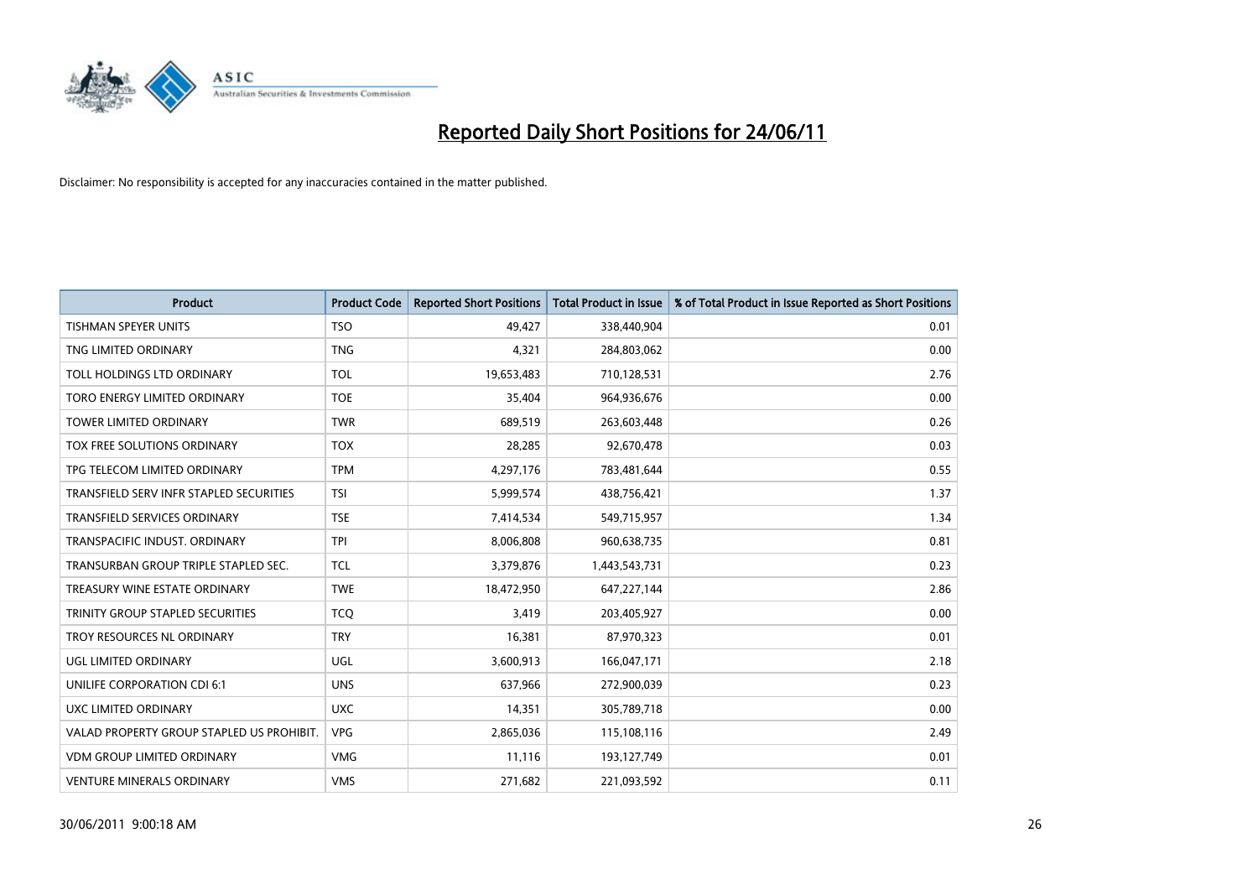

| <b>Product</b>                            | <b>Product Code</b> | <b>Reported Short Positions</b> | Total Product in Issue | % of Total Product in Issue Reported as Short Positions |
|-------------------------------------------|---------------------|---------------------------------|------------------------|---------------------------------------------------------|
| <b>TISHMAN SPEYER UNITS</b>               | <b>TSO</b>          | 49,427                          | 338,440,904            | 0.01                                                    |
| TNG LIMITED ORDINARY                      | <b>TNG</b>          | 4,321                           | 284,803,062            | 0.00                                                    |
| TOLL HOLDINGS LTD ORDINARY                | <b>TOL</b>          | 19,653,483                      | 710,128,531            | 2.76                                                    |
| TORO ENERGY LIMITED ORDINARY              | <b>TOE</b>          | 35,404                          | 964,936,676            | 0.00                                                    |
| <b>TOWER LIMITED ORDINARY</b>             | <b>TWR</b>          | 689,519                         | 263,603,448            | 0.26                                                    |
| <b>TOX FREE SOLUTIONS ORDINARY</b>        | <b>TOX</b>          | 28,285                          | 92,670,478             | 0.03                                                    |
| TPG TELECOM LIMITED ORDINARY              | <b>TPM</b>          | 4,297,176                       | 783,481,644            | 0.55                                                    |
| TRANSFIELD SERV INFR STAPLED SECURITIES   | <b>TSI</b>          | 5,999,574                       | 438,756,421            | 1.37                                                    |
| <b>TRANSFIELD SERVICES ORDINARY</b>       | <b>TSE</b>          | 7,414,534                       | 549,715,957            | 1.34                                                    |
| TRANSPACIFIC INDUST, ORDINARY             | <b>TPI</b>          | 8,006,808                       | 960,638,735            | 0.81                                                    |
| TRANSURBAN GROUP TRIPLE STAPLED SEC.      | <b>TCL</b>          | 3,379,876                       | 1,443,543,731          | 0.23                                                    |
| TREASURY WINE ESTATE ORDINARY             | <b>TWE</b>          | 18,472,950                      | 647,227,144            | 2.86                                                    |
| TRINITY GROUP STAPLED SECURITIES          | <b>TCO</b>          | 3,419                           | 203,405,927            | 0.00                                                    |
| TROY RESOURCES NL ORDINARY                | <b>TRY</b>          | 16,381                          | 87,970,323             | 0.01                                                    |
| UGL LIMITED ORDINARY                      | UGL                 | 3,600,913                       | 166,047,171            | 2.18                                                    |
| UNILIFE CORPORATION CDI 6:1               | <b>UNS</b>          | 637,966                         | 272,900,039            | 0.23                                                    |
| UXC LIMITED ORDINARY                      | <b>UXC</b>          | 14,351                          | 305,789,718            | 0.00                                                    |
| VALAD PROPERTY GROUP STAPLED US PROHIBIT. | <b>VPG</b>          | 2,865,036                       | 115,108,116            | 2.49                                                    |
| <b>VDM GROUP LIMITED ORDINARY</b>         | <b>VMG</b>          | 11,116                          | 193,127,749            | 0.01                                                    |
| <b>VENTURE MINERALS ORDINARY</b>          | <b>VMS</b>          | 271,682                         | 221,093,592            | 0.11                                                    |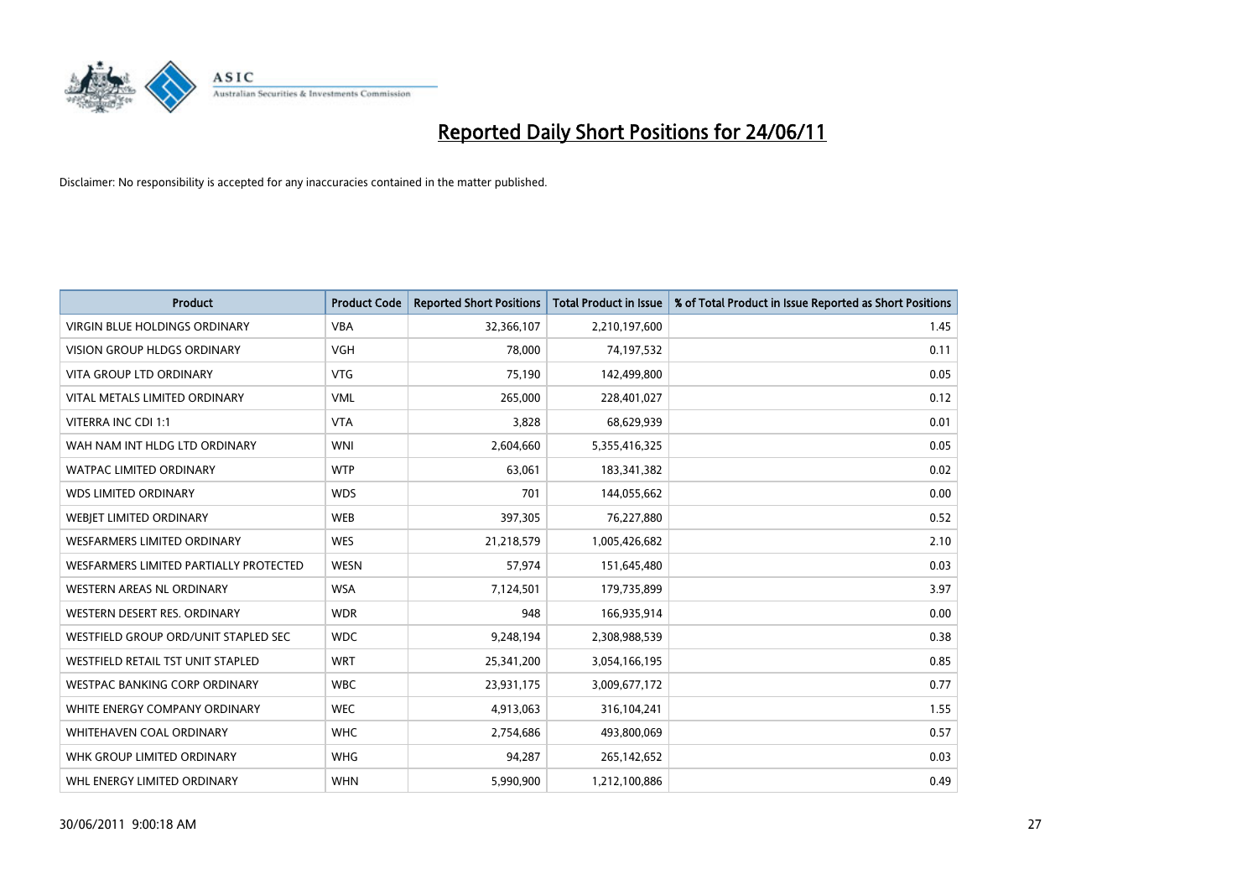

| <b>Product</b>                         | <b>Product Code</b> | <b>Reported Short Positions</b> | <b>Total Product in Issue</b> | % of Total Product in Issue Reported as Short Positions |
|----------------------------------------|---------------------|---------------------------------|-------------------------------|---------------------------------------------------------|
| <b>VIRGIN BLUE HOLDINGS ORDINARY</b>   | <b>VBA</b>          | 32,366,107                      | 2,210,197,600                 | 1.45                                                    |
| VISION GROUP HLDGS ORDINARY            | <b>VGH</b>          | 78,000                          | 74,197,532                    | 0.11                                                    |
| <b>VITA GROUP LTD ORDINARY</b>         | <b>VTG</b>          | 75.190                          | 142,499,800                   | 0.05                                                    |
| VITAL METALS LIMITED ORDINARY          | <b>VML</b>          | 265,000                         | 228,401,027                   | 0.12                                                    |
| VITERRA INC CDI 1:1                    | <b>VTA</b>          | 3,828                           | 68,629,939                    | 0.01                                                    |
| WAH NAM INT HLDG LTD ORDINARY          | <b>WNI</b>          | 2,604,660                       | 5,355,416,325                 | 0.05                                                    |
| <b>WATPAC LIMITED ORDINARY</b>         | <b>WTP</b>          | 63,061                          | 183,341,382                   | 0.02                                                    |
| <b>WDS LIMITED ORDINARY</b>            | <b>WDS</b>          | 701                             | 144,055,662                   | 0.00                                                    |
| WEBJET LIMITED ORDINARY                | <b>WEB</b>          | 397,305                         | 76,227,880                    | 0.52                                                    |
| <b>WESFARMERS LIMITED ORDINARY</b>     | <b>WES</b>          | 21,218,579                      | 1,005,426,682                 | 2.10                                                    |
| WESFARMERS LIMITED PARTIALLY PROTECTED | <b>WESN</b>         | 57,974                          | 151,645,480                   | 0.03                                                    |
| <b>WESTERN AREAS NL ORDINARY</b>       | <b>WSA</b>          | 7,124,501                       | 179,735,899                   | 3.97                                                    |
| WESTERN DESERT RES. ORDINARY           | <b>WDR</b>          | 948                             | 166,935,914                   | 0.00                                                    |
| WESTFIELD GROUP ORD/UNIT STAPLED SEC   | <b>WDC</b>          | 9,248,194                       | 2,308,988,539                 | 0.38                                                    |
| WESTFIELD RETAIL TST UNIT STAPLED      | <b>WRT</b>          | 25,341,200                      | 3,054,166,195                 | 0.85                                                    |
| <b>WESTPAC BANKING CORP ORDINARY</b>   | <b>WBC</b>          | 23,931,175                      | 3,009,677,172                 | 0.77                                                    |
| WHITE ENERGY COMPANY ORDINARY          | <b>WEC</b>          | 4,913,063                       | 316,104,241                   | 1.55                                                    |
| WHITEHAVEN COAL ORDINARY               | <b>WHC</b>          | 2,754,686                       | 493,800,069                   | 0.57                                                    |
| WHK GROUP LIMITED ORDINARY             | <b>WHG</b>          | 94,287                          | 265,142,652                   | 0.03                                                    |
| WHL ENERGY LIMITED ORDINARY            | <b>WHN</b>          | 5,990,900                       | 1,212,100,886                 | 0.49                                                    |